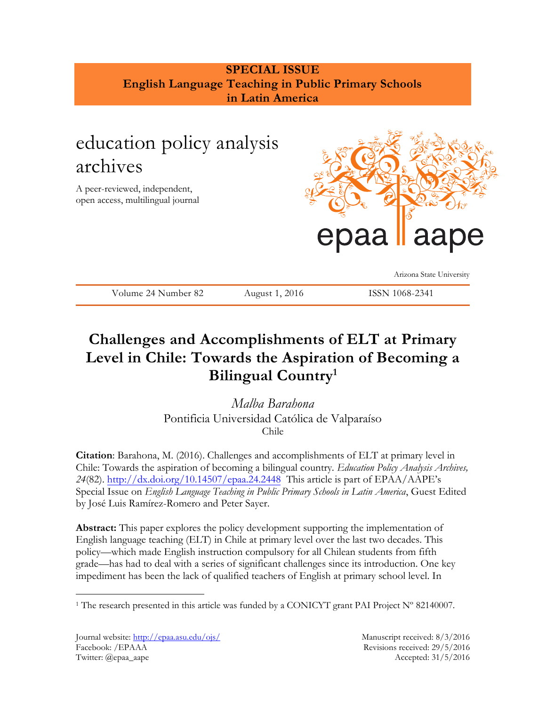## **SPECIAL ISSUE English Language Teaching in Public Primary Schools in Latin America**

# education policy analysis archives

A peer-reviewed, independent, open access, multilingual journal



Arizona State University

Volume 24 Number 82 August 1, 2016 ISSN 1068-2341

## **Challenges and Accomplishments of ELT at Primary Level in Chile: Towards the Aspiration of Becoming a Bilingual Country<sup>1</sup>**

*Malba Barahona*  Pontificia Universidad Católica de Valparaíso Chile

**Citation**: Barahona, M. (2016). Challenges and accomplishments of ELT at primary level in Chile: Towards the aspiration of becoming a bilingual country*. Education Policy Analysis Archives, 24*(82).<http://dx.doi.org/10.14507/epaa.24.2448> This article is part of EPAA/AAPE's Special Issue on *English Language Teaching in Public Primary Schools in Latin America*, Guest Edited by José Luis Ramírez-Romero and Peter Sayer.

**Abstract:** This paper explores the policy development supporting the implementation of English language teaching (ELT) in Chile at primary level over the last two decades. This policy—which made English instruction compulsory for all Chilean students from fifth grade—has had to deal with a series of significant challenges since its introduction. One key impediment has been the lack of qualified teachers of English at primary school level. In

<sup>&</sup>lt;sup>1</sup> The research presented in this article was funded by a CONICYT grant PAI Project  $N^{\circ}$  82140007.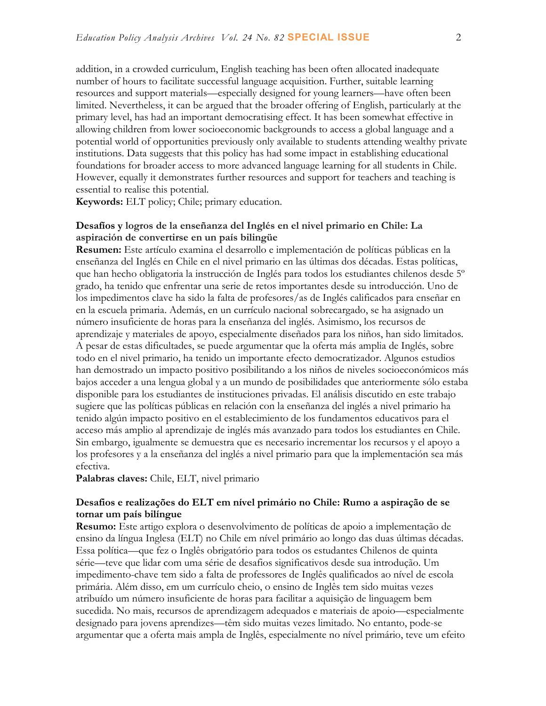addition, in a crowded curriculum, English teaching has been often allocated inadequate number of hours to facilitate successful language acquisition. Further, suitable learning resources and support materials—especially designed for young learners—have often been limited. Nevertheless, it can be argued that the broader offering of English, particularly at the primary level, has had an important democratising effect. It has been somewhat effective in allowing children from lower socioeconomic backgrounds to access a global language and a potential world of opportunities previously only available to students attending wealthy private institutions. Data suggests that this policy has had some impact in establishing educational foundations for broader access to more advanced language learning for all students in Chile. However, equally it demonstrates further resources and support for teachers and teaching is essential to realise this potential.

**Keywords:** ELT policy; Chile; primary education.

#### **Desafíos y logros de la enseñanza del Inglés en el nivel primario en Chile: La aspiración de convertirse en un país bilingüe**

**Resumen:** Este artículo examina el desarrollo e implementación de políticas públicas en la enseñanza del Inglés en Chile en el nivel primario en las últimas dos décadas. Estas políticas, que han hecho obligatoria la instrucción de Inglés para todos los estudiantes chilenos desde 5º grado, ha tenido que enfrentar una serie de retos importantes desde su introducción. Uno de los impedimentos clave ha sido la falta de profesores/as de Inglés calificados para enseñar en en la escuela primaria. Además, en un currículo nacional sobrecargado, se ha asignado un número insuficiente de horas para la enseñanza del inglés. Asimismo, los recursos de aprendizaje y materiales de apoyo, especialmente diseñados para los niños, han sido limitados. A pesar de estas dificultades, se puede argumentar que la oferta más amplia de Inglés, sobre todo en el nivel primario, ha tenido un importante efecto democratizador. Algunos estudios han demostrado un impacto positivo posibilitando a los niños de niveles socioeconómicos más bajos acceder a una lengua global y a un mundo de posibilidades que anteriormente sólo estaba disponible para los estudiantes de instituciones privadas. El análisis discutido en este trabajo sugiere que las políticas públicas en relación con la enseñanza del inglés a nivel primario ha tenido algún impacto positivo en el establecimiento de los fundamentos educativos para el acceso más amplio al aprendizaje de inglés más avanzado para todos los estudiantes en Chile. Sin embargo, igualmente se demuestra que es necesario incrementar los recursos y el apoyo a los profesores y a la enseñanza del inglés a nivel primario para que la implementación sea más efectiva.

**Palabras claves:** Chile, ELT, nivel primario

#### **Desafios e realizações do ELT em nível primário no Chile: Rumo a aspiração de se tornar um país bilíngue**

**Resumo:** Este artigo explora o desenvolvimento de políticas de apoio a implementação de ensino da língua Inglesa (ELT) no Chile em nível primário ao longo das duas últimas décadas. Essa política—que fez o Inglês obrigatório para todos os estudantes Chilenos de quinta série—teve que lidar com uma série de desafios significativos desde sua introdução. Um impedimento-chave tem sido a falta de professores de Inglês qualificados ao nível de escola primária. Além disso, em um currículo cheio, o ensino de Inglês tem sido muitas vezes atribuído um número insuficiente de horas para facilitar a aquisição de linguagem bem sucedida. No mais, recursos de aprendizagem adequados e materiais de apoio—especialmente designado para jovens aprendizes—têm sido muitas vezes limitado. No entanto, pode-se argumentar que a oferta mais ampla de Inglês, especialmente no nível primário, teve um efeito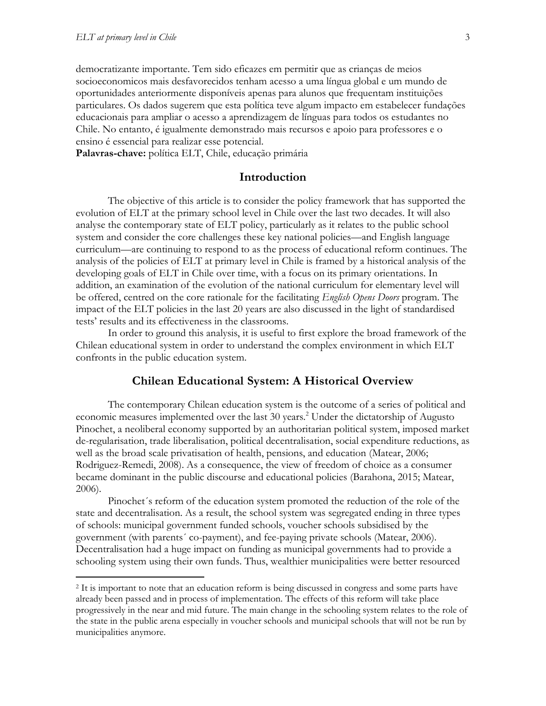$\overline{a}$ 

democratizante importante. Tem sido eficazes em permitir que as crianças de meios socioeconomicos mais desfavorecidos tenham acesso a uma língua global e um mundo de oportunidades anteriormente disponíveis apenas para alunos que frequentam instituições particulares. Os dados sugerem que esta política teve algum impacto em estabelecer fundações educacionais para ampliar o acesso a aprendizagem de línguas para todos os estudantes no Chile. No entanto, é igualmente demonstrado mais recursos e apoio para professores e o ensino é essencial para realizar esse potencial.

**Palavras-chave:** política ELT, Chile, educação primária

#### **Introduction**

The objective of this article is to consider the policy framework that has supported the evolution of ELT at the primary school level in Chile over the last two decades. It will also analyse the contemporary state of ELT policy, particularly as it relates to the public school system and consider the core challenges these key national policies—and English language curriculum—are continuing to respond to as the process of educational reform continues. The analysis of the policies of ELT at primary level in Chile is framed by a historical analysis of the developing goals of ELT in Chile over time, with a focus on its primary orientations. In addition, an examination of the evolution of the national curriculum for elementary level will be offered, centred on the core rationale for the facilitating *English Opens Doors* program. The impact of the ELT policies in the last 20 years are also discussed in the light of standardised tests' results and its effectiveness in the classrooms.

In order to ground this analysis, it is useful to first explore the broad framework of the Chilean educational system in order to understand the complex environment in which ELT confronts in the public education system.

#### **Chilean Educational System: A Historical Overview**

The contemporary Chilean education system is the outcome of a series of political and economic measures implemented over the last 30 years.<sup>2</sup> Under the dictatorship of Augusto Pinochet, a neoliberal economy supported by an authoritarian political system, imposed market de-regularisation, trade liberalisation, political decentralisation, social expenditure reductions, as well as the broad scale privatisation of health, pensions, and education (Matear, 2006; Rodriguez-Remedi, 2008). As a consequence, the view of freedom of choice as a consumer became dominant in the public discourse and educational policies (Barahona, 2015; Matear, 2006).

Pinochet´s reform of the education system promoted the reduction of the role of the state and decentralisation. As a result, the school system was segregated ending in three types of schools: municipal government funded schools, voucher schools subsidised by the government (with parents´ co-payment), and fee-paying private schools (Matear, 2006). Decentralisation had a huge impact on funding as municipal governments had to provide a schooling system using their own funds. Thus, wealthier municipalities were better resourced

<sup>2</sup> It is important to note that an education reform is being discussed in congress and some parts have already been passed and in process of implementation. The effects of this reform will take place progressively in the near and mid future. The main change in the schooling system relates to the role of the state in the public arena especially in voucher schools and municipal schools that will not be run by municipalities anymore.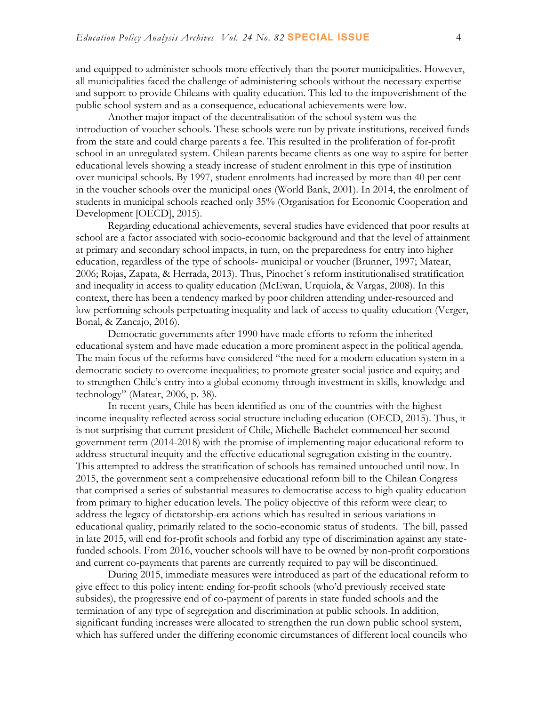and equipped to administer schools more effectively than the poorer municipalities. However, all municipalities faced the challenge of administering schools without the necessary expertise and support to provide Chileans with quality education. This led to the impoverishment of the public school system and as a consequence, educational achievements were low.

Another major impact of the decentralisation of the school system was the introduction of voucher schools. These schools were run by private institutions, received funds from the state and could charge parents a fee. This resulted in the proliferation of for-profit school in an unregulated system. Chilean parents became clients as one way to aspire for better educational levels showing a steady increase of student enrolment in this type of institution over municipal schools. By 1997, student enrolments had increased by more than 40 per cent in the voucher schools over the municipal ones (World Bank, 2001). In 2014, the enrolment of students in municipal schools reached only 35% (Organisation for Economic Cooperation and Development [OECD], 2015).

Regarding educational achievements, several studies have evidenced that poor results at school are a factor associated with socio-economic background and that the level of attainment at primary and secondary school impacts, in turn, on the preparedness for entry into higher education, regardless of the type of schools- municipal or voucher (Brunner, 1997; Matear, 2006; Rojas, Zapata, & Herrada, 2013). Thus, Pinochet´s reform institutionalised stratification and inequality in access to quality education (McEwan, Urquiola, & Vargas, 2008). In this context, there has been a tendency marked by poor children attending under-resourced and low performing schools perpetuating inequality and lack of access to quality education (Verger, Bonal, & Zancajo, 2016).

Democratic governments after 1990 have made efforts to reform the inherited educational system and have made education a more prominent aspect in the political agenda. The main focus of the reforms have considered "the need for a modern education system in a democratic society to overcome inequalities; to promote greater social justice and equity; and to strengthen Chile's entry into a global economy through investment in skills, knowledge and technology" (Matear, 2006, p. 38).

In recent years, Chile has been identified as one of the countries with the highest income inequality reflected across social structure including education (OECD, 2015). Thus, it is not surprising that current president of Chile, Michelle Bachelet commenced her second government term (2014-2018) with the promise of implementing major educational reform to address structural inequity and the effective educational segregation existing in the country. This attempted to address the stratification of schools has remained untouched until now. In 2015, the government sent a comprehensive educational reform bill to the Chilean Congress that comprised a series of substantial measures to democratise access to high quality education from primary to higher education levels. The policy objective of this reform were clear; to address the legacy of dictatorship-era actions which has resulted in serious variations in educational quality, primarily related to the socio-economic status of students. The bill, passed in late 2015, will end for-profit schools and forbid any type of discrimination against any statefunded schools. From 2016, voucher schools will have to be owned by non-profit corporations and current co-payments that parents are currently required to pay will be discontinued.

During 2015, immediate measures were introduced as part of the educational reform to give effect to this policy intent: ending for-profit schools (who'd previously received state subsides), the progressive end of co-payment of parents in state funded schools and the termination of any type of segregation and discrimination at public schools. In addition, significant funding increases were allocated to strengthen the run down public school system, which has suffered under the differing economic circumstances of different local councils who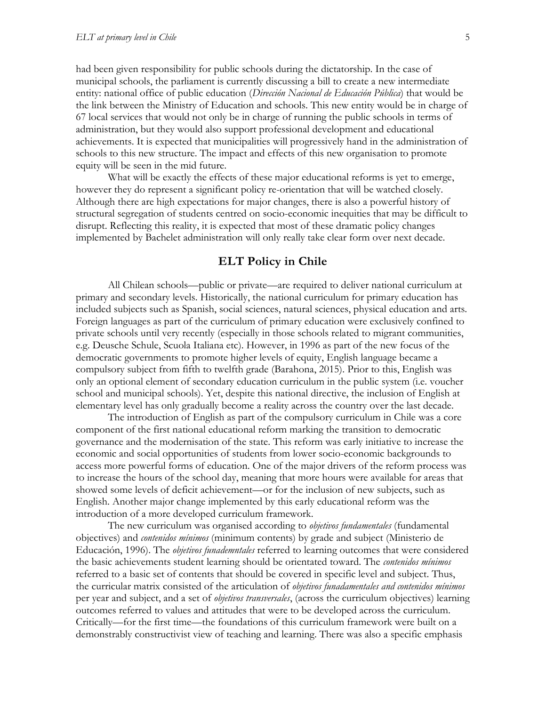had been given responsibility for public schools during the dictatorship. In the case of municipal schools, the parliament is currently discussing a bill to create a new intermediate entity: national office of public education (*Dirección Nacional de Educación Pública*) that would be the link between the Ministry of Education and schools. This new entity would be in charge of 67 local services that would not only be in charge of running the public schools in terms of administration, but they would also support professional development and educational achievements. It is expected that municipalities will progressively hand in the administration of schools to this new structure. The impact and effects of this new organisation to promote equity will be seen in the mid future.

What will be exactly the effects of these major educational reforms is yet to emerge, however they do represent a significant policy re-orientation that will be watched closely. Although there are high expectations for major changes, there is also a powerful history of structural segregation of students centred on socio-economic inequities that may be difficult to disrupt. Reflecting this reality, it is expected that most of these dramatic policy changes implemented by Bachelet administration will only really take clear form over next decade.

#### **ELT Policy in Chile**

All Chilean schools—public or private—are required to deliver national curriculum at primary and secondary levels. Historically, the national curriculum for primary education has included subjects such as Spanish, social sciences, natural sciences, physical education and arts. Foreign languages as part of the curriculum of primary education were exclusively confined to private schools until very recently (especially in those schools related to migrant communities, e.g. Deusche Schule, Scuola Italiana etc). However, in 1996 as part of the new focus of the democratic governments to promote higher levels of equity, English language became a compulsory subject from fifth to twelfth grade (Barahona, 2015). Prior to this, English was only an optional element of secondary education curriculum in the public system (i.e. voucher school and municipal schools). Yet, despite this national directive, the inclusion of English at elementary level has only gradually become a reality across the country over the last decade.

The introduction of English as part of the compulsory curriculum in Chile was a core component of the first national educational reform marking the transition to democratic governance and the modernisation of the state. This reform was early initiative to increase the economic and social opportunities of students from lower socio-economic backgrounds to access more powerful forms of education. One of the major drivers of the reform process was to increase the hours of the school day, meaning that more hours were available for areas that showed some levels of deficit achievement—or for the inclusion of new subjects, such as English. Another major change implemented by this early educational reform was the introduction of a more developed curriculum framework.

The new curriculum was organised according to *objetivos fundamentales* (fundamental objectives) and *contenidos mínimos* (minimum contents) by grade and subject (Ministerio de Educación, 1996). The *objetivos funademntales* referred to learning outcomes that were considered the basic achievements student learning should be orientated toward. The *contenidos mínimos* referred to a basic set of contents that should be covered in specific level and subject. Thus, the curricular matrix consisted of the articulation of *objetivos funadamentales and contenidos mínimos*  per year and subject, and a set of *objetivos transversales*, (across the curriculum objectives) learning outcomes referred to values and attitudes that were to be developed across the curriculum. Critically—for the first time—the foundations of this curriculum framework were built on a demonstrably constructivist view of teaching and learning. There was also a specific emphasis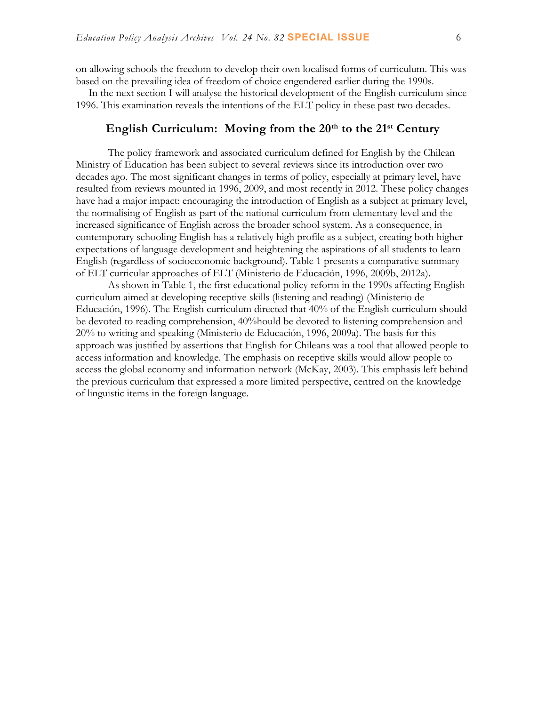on allowing schools the freedom to develop their own localised forms of curriculum. This was based on the prevailing idea of freedom of choice engendered earlier during the 1990s.

In the next section I will analyse the historical development of the English curriculum since 1996. This examination reveals the intentions of the ELT policy in these past two decades.

## **English Curriculum: Moving from the 20th to the 21st Century**

The policy framework and associated curriculum defined for English by the Chilean Ministry of Education has been subject to several reviews since its introduction over two decades ago. The most significant changes in terms of policy, especially at primary level, have resulted from reviews mounted in 1996, 2009, and most recently in 2012. These policy changes have had a major impact: encouraging the introduction of English as a subject at primary level, the normalising of English as part of the national curriculum from elementary level and the increased significance of English across the broader school system. As a consequence, in contemporary schooling English has a relatively high profile as a subject, creating both higher expectations of language development and heightening the aspirations of all students to learn English (regardless of socioeconomic background). Table 1 presents a comparative summary of ELT curricular approaches of ELT (Ministerio de Educación, 1996, 2009b, 2012a).

As shown in Table 1, the first educational policy reform in the 1990s affecting English curriculum aimed at developing receptive skills (listening and reading) (Ministerio de Educación, 1996). The English curriculum directed that 40% of the English curriculum should be devoted to reading comprehension, 40%hould be devoted to listening comprehension and 20% to writing and speaking (Ministerio de Educación, 1996, 2009a). The basis for this approach was justified by assertions that English for Chileans was a tool that allowed people to access information and knowledge. The emphasis on receptive skills would allow people to access the global economy and information network (McKay, 2003). This emphasis left behind the previous curriculum that expressed a more limited perspective, centred on the knowledge of linguistic items in the foreign language.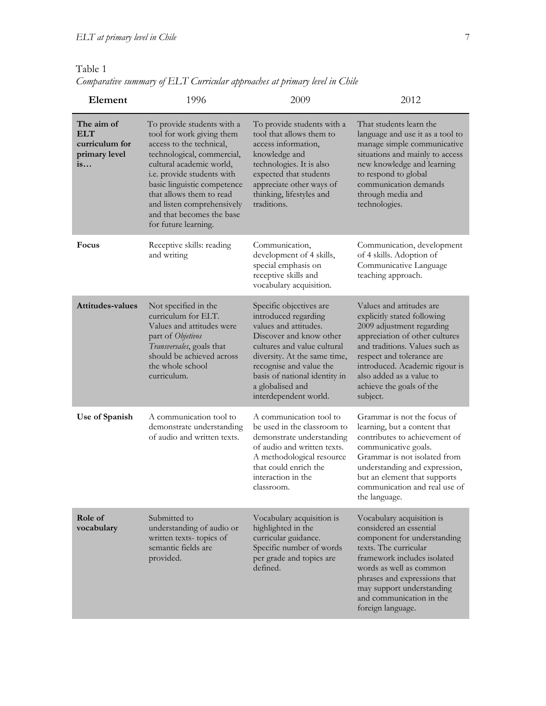#### Table 1

*Comparative summary of ELT Curricular approaches at primary level in Chile*

| Element                                                           | 1996                                                                                                                                                                                                                                                                                                                      | 2009                                                                                                                                                                                                                                                                        | 2012                                                                                                                                                                                                                                                                                        |
|-------------------------------------------------------------------|---------------------------------------------------------------------------------------------------------------------------------------------------------------------------------------------------------------------------------------------------------------------------------------------------------------------------|-----------------------------------------------------------------------------------------------------------------------------------------------------------------------------------------------------------------------------------------------------------------------------|---------------------------------------------------------------------------------------------------------------------------------------------------------------------------------------------------------------------------------------------------------------------------------------------|
| The aim of<br><b>ELT</b><br>curriculum for<br>primary level<br>is | To provide students with a<br>tool for work giving them<br>access to the technical,<br>technological, commercial,<br>cultural academic world,<br>i.e. provide students with<br>basic linguistic competence<br>that allows them to read<br>and listen comprehensively<br>and that becomes the base<br>for future learning. | To provide students with a<br>tool that allows them to<br>access information,<br>knowledge and<br>technologies. It is also<br>expected that students<br>appreciate other ways of<br>thinking, lifestyles and<br>traditions.                                                 | That students learn the<br>language and use it as a tool to<br>manage simple communicative<br>situations and mainly to access<br>new knowledge and learning<br>to respond to global<br>communication demands<br>through media and<br>technologies.                                          |
| Focus                                                             | Receptive skills: reading<br>and writing                                                                                                                                                                                                                                                                                  | Communication,<br>development of 4 skills,<br>special emphasis on<br>receptive skills and<br>vocabulary acquisition.                                                                                                                                                        | Communication, development<br>of 4 skills. Adoption of<br>Communicative Language<br>teaching approach.                                                                                                                                                                                      |
| <b>Attitudes-values</b>                                           | Not specified in the<br>curriculum for ELT.<br>Values and attitudes were<br>part of Objetivos<br>Transversales, goals that<br>should be achieved across<br>the whole school<br>curriculum.                                                                                                                                | Specific objectives are<br>introduced regarding<br>values and attitudes.<br>Discover and know other<br>cultures and value cultural<br>diversity. At the same time,<br>recognise and value the<br>basis of national identity in<br>a globalised and<br>interdependent world. | Values and attitudes are<br>explicitly stated following<br>2009 adjustment regarding<br>appreciation of other cultures<br>and traditions. Values such as<br>respect and tolerance are<br>introduced. Academic rigour is<br>also added as a value to<br>achieve the goals of the<br>subject. |
| Use of Spanish                                                    | A communication tool to<br>demonstrate understanding<br>of audio and written texts.                                                                                                                                                                                                                                       | A communication tool to<br>be used in the classroom to<br>demonstrate understanding<br>of audio and written texts.<br>A methodological resource<br>that could enrich the<br>interaction in the<br>classroom.                                                                | Grammar is not the focus of<br>learning, but a content that<br>contributes to achievement of<br>communicative goals.<br>Grammar is not isolated from<br>understanding and expression,<br>but an element that supports<br>communication and real use of<br>the language.                     |
| Role of<br>vocabulary                                             | Submitted to<br>understanding of audio or<br>written texts-topics of<br>semantic fields are<br>provided.                                                                                                                                                                                                                  | Vocabulary acquisition is<br>highlighted in the<br>curricular guidance.<br>Specific number of words<br>per grade and topics are<br>defined.                                                                                                                                 | Vocabulary acquisition is<br>considered an essential<br>component for understanding<br>texts. The curricular<br>framework includes isolated<br>words as well as common<br>phrases and expressions that<br>may support understanding<br>and communication in the<br>foreign language.        |
|                                                                   |                                                                                                                                                                                                                                                                                                                           |                                                                                                                                                                                                                                                                             |                                                                                                                                                                                                                                                                                             |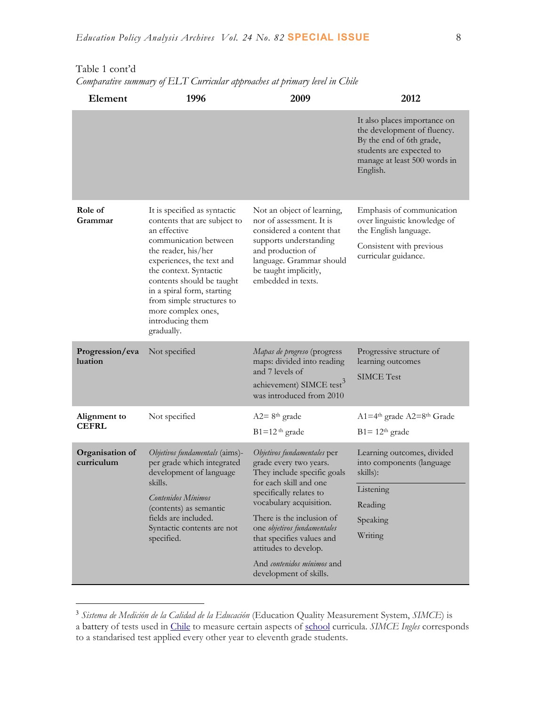|                                                                                                                                                                                                                                                                                                                                     |                                                                                                                                                                                                                                                                                                                             | It also places importance on<br>the development of fluency.<br>By the end of 6th grade,<br>students are expected to<br>manage at least 500 words in<br>English. |
|-------------------------------------------------------------------------------------------------------------------------------------------------------------------------------------------------------------------------------------------------------------------------------------------------------------------------------------|-----------------------------------------------------------------------------------------------------------------------------------------------------------------------------------------------------------------------------------------------------------------------------------------------------------------------------|-----------------------------------------------------------------------------------------------------------------------------------------------------------------|
| It is specified as syntactic<br>contents that are subject to<br>an effective<br>communication between<br>the reader, his/her<br>experiences, the text and<br>the context. Syntactic<br>contents should be taught<br>in a spiral form, starting<br>from simple structures to<br>more complex ones,<br>introducing them<br>gradually. | Not an object of learning,<br>nor of assessment. It is<br>considered a content that<br>supports understanding<br>and production of<br>language. Grammar should<br>be taught implicitly,<br>embedded in texts.                                                                                                               | Emphasis of communication<br>over linguistic knowledge of<br>the English language.<br>Consistent with previous<br>curricular guidance.                          |
| Not specified                                                                                                                                                                                                                                                                                                                       | Mapas de progreso (progress<br>maps: divided into reading<br>and 7 levels of<br>achievement) SIMCE test <sup>3</sup><br>was introduced from 2010                                                                                                                                                                            | Progressive structure of<br>learning outcomes<br><b>SIMCE</b> Test                                                                                              |
| Not specified                                                                                                                                                                                                                                                                                                                       | $A2 = 8th$ grade<br>$B1=12$ <sup>th</sup> grade                                                                                                                                                                                                                                                                             | $A1=4th$ grade $A2=8th$ Grade<br>$B1 = 12th$ grade                                                                                                              |
| Objetivos fundamentals (aims)-<br>per grade which integrated<br>development of language<br>skills.<br>Contenidos Mínimos<br>(contents) as semantic<br>fields are included.<br>Syntactic contents are not<br>specified.                                                                                                              | Objetivos fundamentales per<br>grade every two years.<br>They include specific goals<br>for each skill and one<br>specifically relates to<br>vocabulary acquisition.<br>There is the inclusion of<br>one objetivos fundamentales<br>that specifies values and<br>attitudes to develop.<br>And <i>contenidos mínimos</i> and | Learning outcomes, divided<br>into components (language<br>skills):<br>Listening<br>Reading<br>Speaking<br>Writing                                              |
|                                                                                                                                                                                                                                                                                                                                     |                                                                                                                                                                                                                                                                                                                             | development of skills.                                                                                                                                          |

#### Table 1 cont'd

 $\overline{a}$ 

*Comparative summary of ELT Curricular approaches at primary level in Chile*

<sup>3</sup> *Sistema de Medición de la Calidad de la Educación* (Education Quality Measurement System, *SIMCE*) is a battery of tests used in [Chile](https://en.wikipedia.org/wiki/Chile) to measure certain aspects of [school](https://en.wikipedia.org/wiki/School) curricula. *SIMCE Ingles* corresponds to a standarised test applied every other year to eleventh grade students.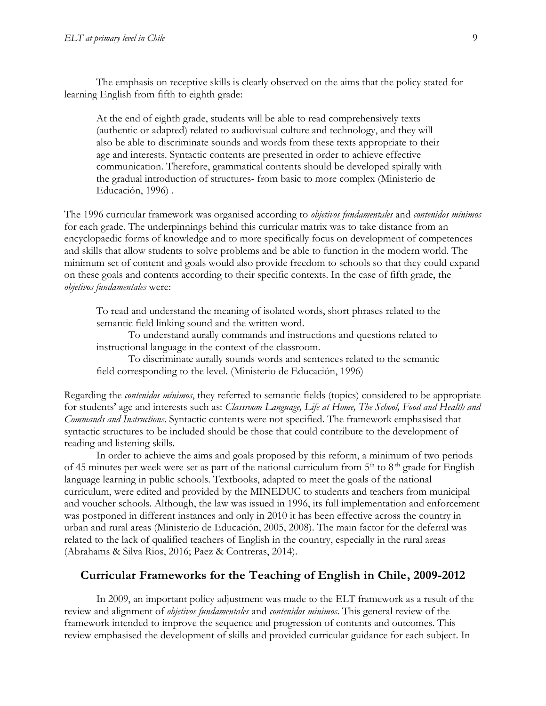The emphasis on receptive skills is clearly observed on the aims that the policy stated for learning English from fifth to eighth grade:

At the end of eighth grade, students will be able to read comprehensively texts (authentic or adapted) related to audiovisual culture and technology, and they will also be able to discriminate sounds and words from these texts appropriate to their age and interests. Syntactic contents are presented in order to achieve effective communication. Therefore, grammatical contents should be developed spirally with the gradual introduction of structures- from basic to more complex (Ministerio de Educación, 1996) .

The 1996 curricular framework was organised according to *objetivos fundamentales* and *contenidos mínimos* for each grade. The underpinnings behind this curricular matrix was to take distance from an encyclopaedic forms of knowledge and to more specifically focus on development of competences and skills that allow students to solve problems and be able to function in the modern world. The minimum set of content and goals would also provide freedom to schools so that they could expand on these goals and contents according to their specific contexts. In the case of fifth grade, the *objetivos fundamentales* were:

To read and understand the meaning of isolated words, short phrases related to the semantic field linking sound and the written word.

To understand aurally commands and instructions and questions related to instructional language in the context of the classroom.

To discriminate aurally sounds words and sentences related to the semantic field corresponding to the level. (Ministerio de Educación, 1996)

Regarding the *contenidos mínimos*, they referred to semantic fields (topics) considered to be appropriate for students' age and interests such as: *Classroom Language, Life at Home, The School, Food and Health and Commands and Instructions*. Syntactic contents were not specified. The framework emphasised that syntactic structures to be included should be those that could contribute to the development of reading and listening skills.

In order to achieve the aims and goals proposed by this reform, a minimum of two periods of 45 minutes per week were set as part of the national curriculum from  $5<sup>th</sup>$  to  $8<sup>th</sup>$  grade for English language learning in public schools. Textbooks, adapted to meet the goals of the national curriculum, were edited and provided by the MINEDUC to students and teachers from municipal and voucher schools. Although, the law was issued in 1996, its full implementation and enforcement was postponed in different instances and only in 2010 it has been effective across the country in urban and rural areas (Ministerio de Educación, 2005, 2008). The main factor for the deferral was related to the lack of qualified teachers of English in the country, especially in the rural areas (Abrahams & Silva Rios, 2016; Paez & Contreras, 2014).

#### **Curricular Frameworks for the Teaching of English in Chile, 2009-2012**

In 2009, an important policy adjustment was made to the ELT framework as a result of the review and alignment of *objetivos fundamentales* and *contenidos minimos*. This general review of the framework intended to improve the sequence and progression of contents and outcomes. This review emphasised the development of skills and provided curricular guidance for each subject. In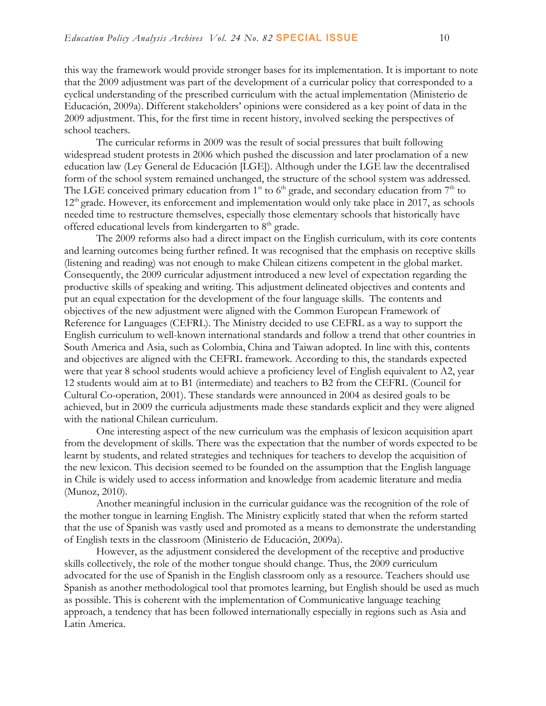this way the framework would provide stronger bases for its implementation. It is important to note that the 2009 adjustment was part of the development of a curricular policy that corresponded to a cyclical understanding of the prescribed curriculum with the actual implementation (Ministerio de Educación, 2009a). Different stakeholders' opinions were considered as a key point of data in the 2009 adjustment. This, for the first time in recent history, involved seeking the perspectives of school teachers.

The curricular reforms in 2009 was the result of social pressures that built following widespread student protests in 2006 which pushed the discussion and later proclamation of a new education law (Ley General de Educación [LGE]). Although under the LGE law the decentralised form of the school system remained unchanged, the structure of the school system was addressed. The LGE conceived primary education from  $1<sup>st</sup>$  to  $6<sup>th</sup>$  grade, and secondary education from  $7<sup>th</sup>$  to 12<sup>th</sup> grade. However, its enforcement and implementation would only take place in 2017, as schools needed time to restructure themselves, especially those elementary schools that historically have offered educational levels from kindergarten to  $8<sup>th</sup>$  grade.

The 2009 reforms also had a direct impact on the English curriculum, with its core contents and learning outcomes being further refined. It was recognised that the emphasis on receptive skills (listening and reading) was not enough to make Chilean citizens competent in the global market. Consequently, the 2009 curricular adjustment introduced a new level of expectation regarding the productive skills of speaking and writing. This adjustment delineated objectives and contents and put an equal expectation for the development of the four language skills. The contents and objectives of the new adjustment were aligned with the Common European Framework of Reference for Languages (CEFRL). The Ministry decided to use CEFRL as a way to support the English curriculum to well-known international standards and follow a trend that other countries in South America and Asia, such as Colombia, China and Taiwan adopted. In line with this, contents and objectives are aligned with the CEFRL framework. According to this, the standards expected were that year 8 school students would achieve a proficiency level of English equivalent to A2, year 12 students would aim at to B1 (intermediate) and teachers to B2 from the CEFRL (Council for Cultural Co-operation, 2001). These standards were announced in 2004 as desired goals to be achieved, but in 2009 the curricula adjustments made these standards explicit and they were aligned with the national Chilean curriculum.

One interesting aspect of the new curriculum was the emphasis of lexicon acquisition apart from the development of skills. There was the expectation that the number of words expected to be learnt by students, and related strategies and techniques for teachers to develop the acquisition of the new lexicon. This decision seemed to be founded on the assumption that the English language in Chile is widely used to access information and knowledge from academic literature and media (Munoz, 2010).

Another meaningful inclusion in the curricular guidance was the recognition of the role of the mother tongue in learning English. The Ministry explicitly stated that when the reform started that the use of Spanish was vastly used and promoted as a means to demonstrate the understanding of English texts in the classroom (Ministerio de Educación, 2009a).

However, as the adjustment considered the development of the receptive and productive skills collectively, the role of the mother tongue should change. Thus, the 2009 curriculum advocated for the use of Spanish in the English classroom only as a resource. Teachers should use Spanish as another methodological tool that promotes learning, but English should be used as much as possible. This is coherent with the implementation of Communicative language teaching approach, a tendency that has been followed internationally especially in regions such as Asia and Latin America.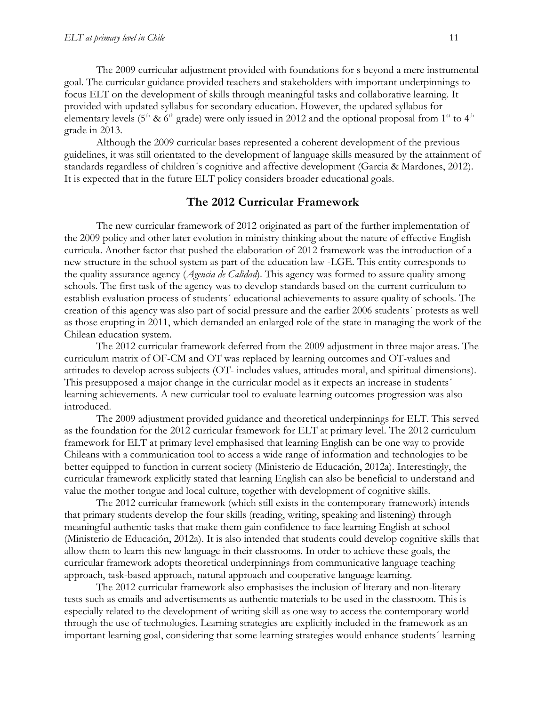The 2009 curricular adjustment provided with foundations for s beyond a mere instrumental goal. The curricular guidance provided teachers and stakeholders with important underpinnings to focus ELT on the development of skills through meaningful tasks and collaborative learning. It provided with updated syllabus for secondary education. However, the updated syllabus for elementary levels (5<sup>th</sup> & 6<sup>th</sup> grade) were only issued in 2012 and the optional proposal from 1<sup>st</sup> to 4<sup>th</sup> grade in 2013.

Although the 2009 curricular bases represented a coherent development of the previous guidelines, it was still orientated to the development of language skills measured by the attainment of standards regardless of children´s cognitive and affective development (Garcia & Mardones, 2012). It is expected that in the future ELT policy considers broader educational goals.

#### **The 2012 Curricular Framework**

The new curricular framework of 2012 originated as part of the further implementation of the 2009 policy and other later evolution in ministry thinking about the nature of effective English curricula. Another factor that pushed the elaboration of 2012 framework was the introduction of a new structure in the school system as part of the education law -LGE. This entity corresponds to the quality assurance agency (*Agencia de Calidad*). This agency was formed to assure quality among schools. The first task of the agency was to develop standards based on the current curriculum to establish evaluation process of students´ educational achievements to assure quality of schools. The creation of this agency was also part of social pressure and the earlier 2006 students´ protests as well as those erupting in 2011, which demanded an enlarged role of the state in managing the work of the Chilean education system.

The 2012 curricular framework deferred from the 2009 adjustment in three major areas. The curriculum matrix of OF-CM and OT was replaced by learning outcomes and OT-values and attitudes to develop across subjects (OT- includes values, attitudes moral, and spiritual dimensions). This presupposed a major change in the curricular model as it expects an increase in students´ learning achievements. A new curricular tool to evaluate learning outcomes progression was also introduced.

The 2009 adjustment provided guidance and theoretical underpinnings for ELT. This served as the foundation for the 2012 curricular framework for ELT at primary level. The 2012 curriculum framework for ELT at primary level emphasised that learning English can be one way to provide Chileans with a communication tool to access a wide range of information and technologies to be better equipped to function in current society (Ministerio de Educación, 2012a). Interestingly, the curricular framework explicitly stated that learning English can also be beneficial to understand and value the mother tongue and local culture, together with development of cognitive skills.

The 2012 curricular framework (which still exists in the contemporary framework) intends that primary students develop the four skills (reading, writing, speaking and listening) through meaningful authentic tasks that make them gain confidence to face learning English at school (Ministerio de Educación, 2012a). It is also intended that students could develop cognitive skills that allow them to learn this new language in their classrooms. In order to achieve these goals, the curricular framework adopts theoretical underpinnings from communicative language teaching approach, task-based approach, natural approach and cooperative language learning.

The 2012 curricular framework also emphasises the inclusion of literary and non-literary tests such as emails and advertisements as authentic materials to be used in the classroom. This is especially related to the development of writing skill as one way to access the contemporary world through the use of technologies. Learning strategies are explicitly included in the framework as an important learning goal, considering that some learning strategies would enhance students´ learning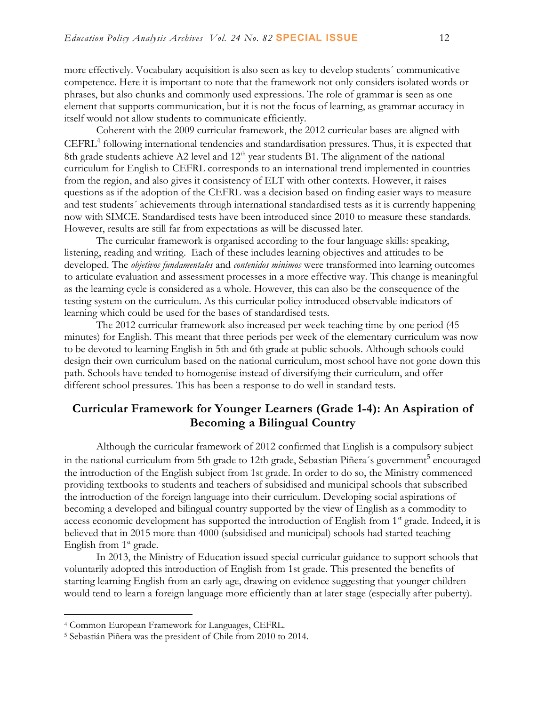more effectively. Vocabulary acquisition is also seen as key to develop students´ communicative competence. Here it is important to note that the framework not only considers isolated words or phrases, but also chunks and commonly used expressions. The role of grammar is seen as one element that supports communication, but it is not the focus of learning, as grammar accuracy in itself would not allow students to communicate efficiently.

Coherent with the 2009 curricular framework, the 2012 curricular bases are aligned with CEFRL 4 following international tendencies and standardisation pressures. Thus, it is expected that 8th grade students achieve A2 level and  $12<sup>th</sup>$  year students B1. The alignment of the national curriculum for English to CEFRL corresponds to an international trend implemented in countries from the region, and also gives it consistency of ELT with other contexts. However, it raises questions as if the adoption of the CEFRL was a decision based on finding easier ways to measure and test students´ achievements through international standardised tests as it is currently happening now with SIMCE. Standardised tests have been introduced since 2010 to measure these standards. However, results are still far from expectations as will be discussed later.

The curricular framework is organised according to the four language skills: speaking, listening, reading and writing. Each of these includes learning objectives and attitudes to be developed. The *objetivos fundamentales* and *contenidos minimos* were transformed into learning outcomes to articulate evaluation and assessment processes in a more effective way. This change is meaningful as the learning cycle is considered as a whole. However, this can also be the consequence of the testing system on the curriculum. As this curricular policy introduced observable indicators of learning which could be used for the bases of standardised tests.

The 2012 curricular framework also increased per week teaching time by one period (45 minutes) for English. This meant that three periods per week of the elementary curriculum was now to be devoted to learning English in 5th and 6th grade at public schools. Although schools could design their own curriculum based on the national curriculum, most school have not gone down this path. Schools have tended to homogenise instead of diversifying their curriculum, and offer different school pressures. This has been a response to do well in standard tests.

## **Curricular Framework for Younger Learners (Grade 1-4): An Aspiration of Becoming a Bilingual Country**

Although the curricular framework of 2012 confirmed that English is a compulsory subject in the national curriculum from 5th grade to 12th grade, Sebastian Piñera's government<sup>5</sup> encouraged the introduction of the English subject from 1st grade. In order to do so, the Ministry commenced providing textbooks to students and teachers of subsidised and municipal schools that subscribed the introduction of the foreign language into their curriculum. Developing social aspirations of becoming a developed and bilingual country supported by the view of English as a commodity to access economic development has supported the introduction of English from 1<sup>st</sup> grade. Indeed, it is believed that in 2015 more than 4000 (subsidised and municipal) schools had started teaching English from  $1<sup>st</sup>$  grade.

In 2013, the Ministry of Education issued special curricular guidance to support schools that voluntarily adopted this introduction of English from 1st grade. This presented the benefits of starting learning English from an early age, drawing on evidence suggesting that younger children would tend to learn a foreign language more efficiently than at later stage (especially after puberty).

 $\overline{a}$ 

<sup>4</sup> Common European Framework for Languages, CEFRL.

<sup>5</sup> Sebastián Piñera was the president of Chile from 2010 to 2014.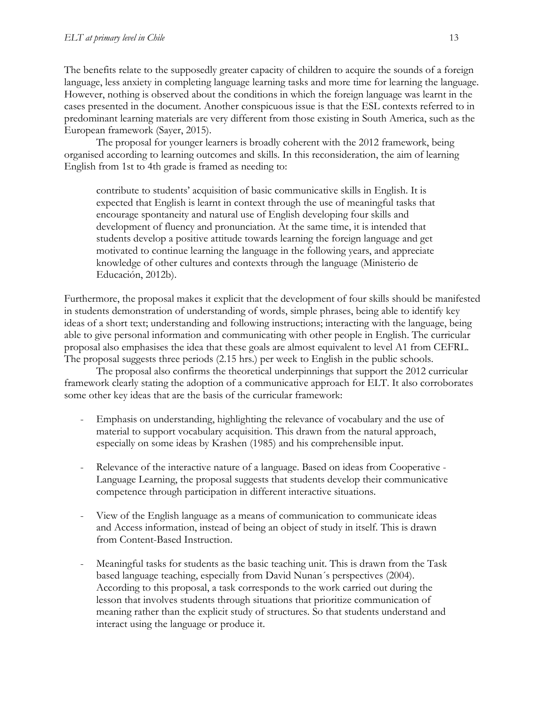The benefits relate to the supposedly greater capacity of children to acquire the sounds of a foreign language, less anxiety in completing language learning tasks and more time for learning the language. However, nothing is observed about the conditions in which the foreign language was learnt in the cases presented in the document. Another conspicuous issue is that the ESL contexts referred to in predominant learning materials are very different from those existing in South America, such as the European framework (Sayer, 2015).

The proposal for younger learners is broadly coherent with the 2012 framework, being organised according to learning outcomes and skills. In this reconsideration, the aim of learning English from 1st to 4th grade is framed as needing to:

contribute to students' acquisition of basic communicative skills in English. It is expected that English is learnt in context through the use of meaningful tasks that encourage spontaneity and natural use of English developing four skills and development of fluency and pronunciation. At the same time, it is intended that students develop a positive attitude towards learning the foreign language and get motivated to continue learning the language in the following years, and appreciate knowledge of other cultures and contexts through the language (Ministerio de Educación, 2012b).

Furthermore, the proposal makes it explicit that the development of four skills should be manifested in students demonstration of understanding of words, simple phrases, being able to identify key ideas of a short text; understanding and following instructions; interacting with the language, being able to give personal information and communicating with other people in English. The curricular proposal also emphasises the idea that these goals are almost equivalent to level A1 from CEFRL. The proposal suggests three periods (2.15 hrs.) per week to English in the public schools.

The proposal also confirms the theoretical underpinnings that support the 2012 curricular framework clearly stating the adoption of a communicative approach for ELT. It also corroborates some other key ideas that are the basis of the curricular framework:

- Emphasis on understanding, highlighting the relevance of vocabulary and the use of material to support vocabulary acquisition. This drawn from the natural approach, especially on some ideas by Krashen (1985) and his comprehensible input.
- Relevance of the interactive nature of a language. Based on ideas from Cooperative -Language Learning, the proposal suggests that students develop their communicative competence through participation in different interactive situations.
- View of the English language as a means of communication to communicate ideas and Access information, instead of being an object of study in itself. This is drawn from Content-Based Instruction.
- Meaningful tasks for students as the basic teaching unit. This is drawn from the Task based language teaching, especially from David Nunan´s perspectives (2004). According to this proposal, a task corresponds to the work carried out during the lesson that involves students through situations that prioritize communication of meaning rather than the explicit study of structures. So that students understand and interact using the language or produce it.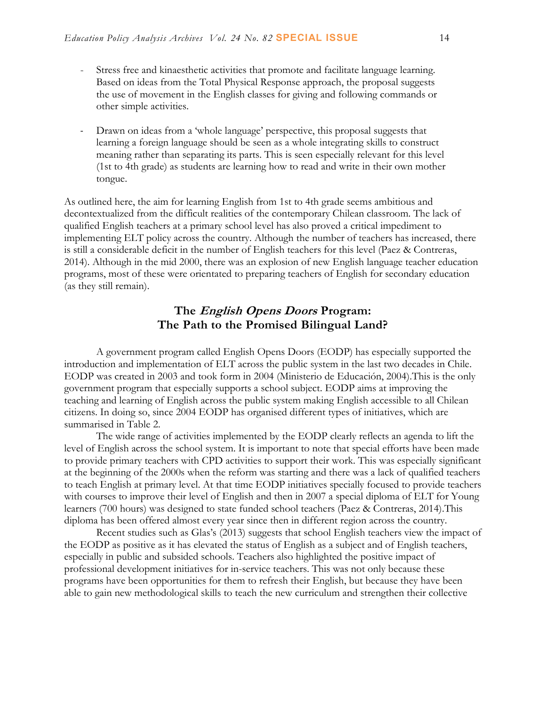- Stress free and kinaesthetic activities that promote and facilitate language learning. Based on ideas from the Total Physical Response approach, the proposal suggests the use of movement in the English classes for giving and following commands or other simple activities.
- Drawn on ideas from a 'whole language' perspective, this proposal suggests that learning a foreign language should be seen as a whole integrating skills to construct meaning rather than separating its parts. This is seen especially relevant for this level (1st to 4th grade) as students are learning how to read and write in their own mother tongue.

As outlined here, the aim for learning English from 1st to 4th grade seems ambitious and decontextualized from the difficult realities of the contemporary Chilean classroom. The lack of qualified English teachers at a primary school level has also proved a critical impediment to implementing ELT policy across the country. Although the number of teachers has increased, there is still a considerable deficit in the number of English teachers for this level (Paez & Contreras, 2014). Although in the mid 2000, there was an explosion of new English language teacher education programs, most of these were orientated to preparing teachers of English for secondary education (as they still remain).

## **The English Opens Doors Program: The Path to the Promised Bilingual Land?**

A government program called English Opens Doors (EODP) has especially supported the introduction and implementation of ELT across the public system in the last two decades in Chile. EODP was created in 2003 and took form in 2004 (Ministerio de Educación, 2004).This is the only government program that especially supports a school subject. EODP aims at improving the teaching and learning of English across the public system making English accessible to all Chilean citizens. In doing so, since 2004 EODP has organised different types of initiatives, which are summarised in Table 2.

The wide range of activities implemented by the EODP clearly reflects an agenda to lift the level of English across the school system. It is important to note that special efforts have been made to provide primary teachers with CPD activities to support their work. This was especially significant at the beginning of the 2000s when the reform was starting and there was a lack of qualified teachers to teach English at primary level. At that time EODP initiatives specially focused to provide teachers with courses to improve their level of English and then in 2007 a special diploma of ELT for Young learners (700 hours) was designed to state funded school teachers (Paez & Contreras, 2014).This diploma has been offered almost every year since then in different region across the country.

Recent studies such as Glas's (2013) suggests that school English teachers view the impact of the EODP as positive as it has elevated the status of English as a subject and of English teachers, especially in public and subsided schools. Teachers also highlighted the positive impact of professional development initiatives for in-service teachers. This was not only because these programs have been opportunities for them to refresh their English, but because they have been able to gain new methodological skills to teach the new curriculum and strengthen their collective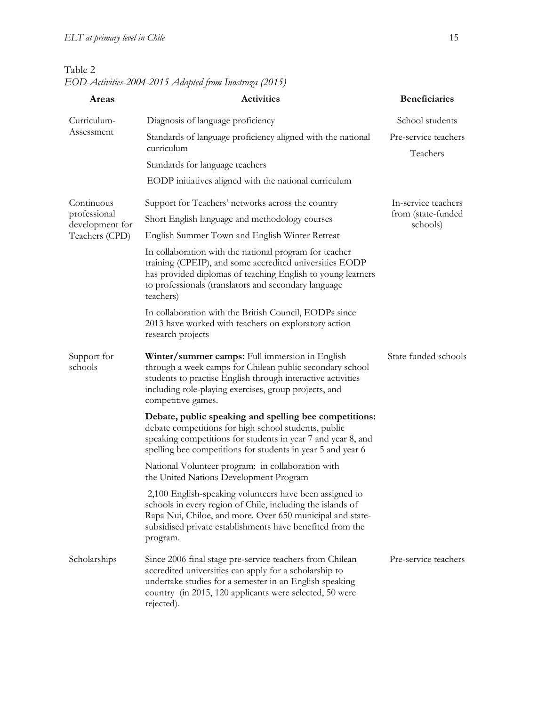| Table 2                                                |  |
|--------------------------------------------------------|--|
| EOD-Activities-2004-2015 Adapted from Inostroza (2015) |  |

| Areas                           | <b>Activities</b>                                                                                                                                                                                                                                           | <b>Beneficiaries</b>             |  |
|---------------------------------|-------------------------------------------------------------------------------------------------------------------------------------------------------------------------------------------------------------------------------------------------------------|----------------------------------|--|
| Curriculum-                     | Diagnosis of language proficiency                                                                                                                                                                                                                           | School students                  |  |
| Assessment                      | Standards of language proficiency aligned with the national<br>curriculum                                                                                                                                                                                   | Pre-service teachers<br>Teachers |  |
|                                 | Standards for language teachers                                                                                                                                                                                                                             |                                  |  |
|                                 | EODP initiatives aligned with the national curriculum                                                                                                                                                                                                       |                                  |  |
| Continuous                      | Support for Teachers' networks across the country                                                                                                                                                                                                           | In-service teachers              |  |
| professional<br>development for | Short English language and methodology courses                                                                                                                                                                                                              | from (state-funded<br>schools)   |  |
| Teachers (CPD)                  | English Summer Town and English Winter Retreat                                                                                                                                                                                                              |                                  |  |
|                                 | In collaboration with the national program for teacher<br>training (CPEIP), and some accredited universities EODP<br>has provided diplomas of teaching English to young learners<br>to professionals (translators and secondary language<br>teachers)       |                                  |  |
|                                 | In collaboration with the British Council, EODPs since<br>2013 have worked with teachers on exploratory action<br>research projects                                                                                                                         |                                  |  |
| Support for<br>schools          | Winter/summer camps: Full immersion in English<br>through a week camps for Chilean public secondary school<br>students to practise English through interactive activities<br>including role-playing exercises, group projects, and<br>competitive games.    | State funded schools             |  |
|                                 | Debate, public speaking and spelling bee competitions:<br>debate competitions for high school students, public<br>speaking competitions for students in year 7 and year 8, and<br>spelling bee competitions for students in year 5 and year 6               |                                  |  |
|                                 | National Volunteer program: in collaboration with<br>the United Nations Development Program                                                                                                                                                                 |                                  |  |
|                                 | 2,100 English-speaking volunteers have been assigned to<br>schools in every region of Chile, including the islands of<br>Rapa Nui, Chiloe, and more. Over 650 municipal and state-<br>subsidised private establishments have benefited from the<br>program. |                                  |  |
| Scholarships                    | Since 2006 final stage pre-service teachers from Chilean<br>accredited universities can apply for a scholarship to<br>undertake studies for a semester in an English speaking<br>country (in 2015, 120 applicants were selected, 50 were<br>rejected).      | Pre-service teachers             |  |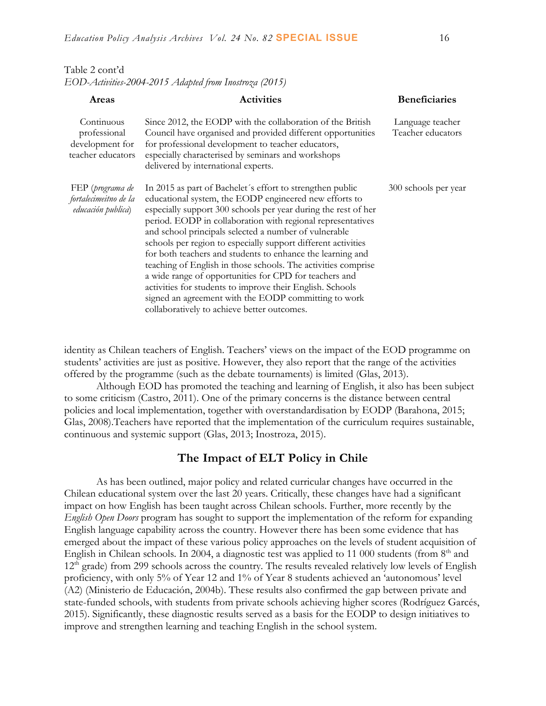| Table 2 cont'd                                         |  |
|--------------------------------------------------------|--|
| EOD-Activities-2004-2015 Adapted from Inostroza (2015) |  |

| Areas                                                              | <b>Activities</b>                                                                                                                                                                                                                                                                                                                                                                                                                                                                                                                                                                                                                                                                                                                           | <b>Beneficiaries</b>                  |
|--------------------------------------------------------------------|---------------------------------------------------------------------------------------------------------------------------------------------------------------------------------------------------------------------------------------------------------------------------------------------------------------------------------------------------------------------------------------------------------------------------------------------------------------------------------------------------------------------------------------------------------------------------------------------------------------------------------------------------------------------------------------------------------------------------------------------|---------------------------------------|
| Continuous<br>professional<br>development for<br>teacher educators | Since 2012, the EODP with the collaboration of the British<br>Council have organised and provided different opportunities<br>for professional development to teacher educators,<br>especially characterised by seminars and workshops<br>delivered by international experts.                                                                                                                                                                                                                                                                                                                                                                                                                                                                | Language teacher<br>Teacher educators |
| FEP (programa de<br>fortalecimeitno de la<br>educación publica)    | In 2015 as part of Bachelet's effort to strengthen public<br>educational system, the EODP engineered new efforts to<br>especially support 300 schools per year during the rest of her<br>period. EODP in collaboration with regional representatives<br>and school principals selected a number of vulnerable<br>schools per region to especially support different activities<br>for both teachers and students to enhance the learning and<br>teaching of English in those schools. The activities comprise<br>a wide range of opportunities for CPD for teachers and<br>activities for students to improve their English. Schools<br>signed an agreement with the EODP committing to work<br>collaboratively to achieve better outcomes. | 300 schools per year                  |

identity as Chilean teachers of English. Teachers' views on the impact of the EOD programme on students' activities are just as positive. However, they also report that the range of the activities offered by the programme (such as the debate tournaments) is limited (Glas, 2013).

Although EOD has promoted the teaching and learning of English, it also has been subject to some criticism (Castro, 2011). One of the primary concerns is the distance between central policies and local implementation, together with overstandardisation by EODP (Barahona, 2015; Glas, 2008).Teachers have reported that the implementation of the curriculum requires sustainable, continuous and systemic support (Glas, 2013; Inostroza, 2015).

#### **The Impact of ELT Policy in Chile**

As has been outlined, major policy and related curricular changes have occurred in the Chilean educational system over the last 20 years. Critically, these changes have had a significant impact on how English has been taught across Chilean schools. Further, more recently by the *English Open Doors* program has sought to support the implementation of the reform for expanding English language capability across the country. However there has been some evidence that has emerged about the impact of these various policy approaches on the levels of student acquisition of English in Chilean schools. In 2004, a diagnostic test was applied to 11 000 students (from  $8<sup>th</sup>$  and 12<sup>th</sup> grade) from 299 schools across the country. The results revealed relatively low levels of English proficiency, with only 5% of Year 12 and 1% of Year 8 students achieved an 'autonomous' level (A2) (Ministerio de Educación, 2004b). These results also confirmed the gap between private and state-funded schools, with students from private schools achieving higher scores (Rodríguez Garcés, 2015). Significantly, these diagnostic results served as a basis for the EODP to design initiatives to improve and strengthen learning and teaching English in the school system.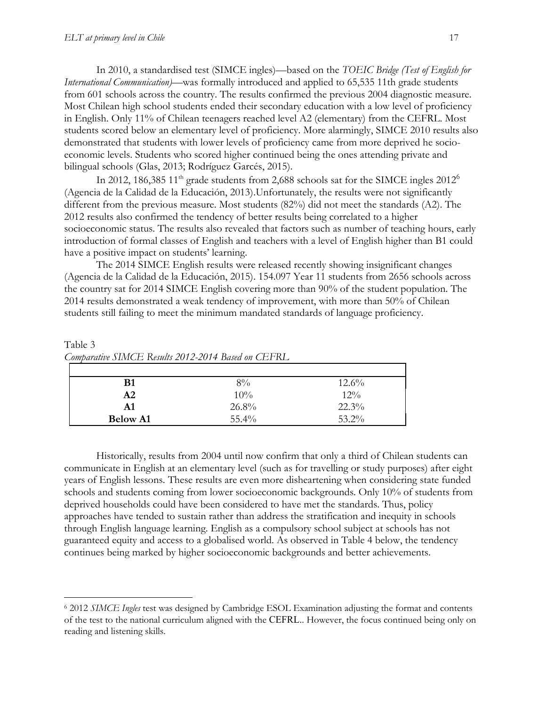$\overline{a}$ 

In 2010, a standardised test (SIMCE ingles)—based on the *TOEIC Bridge (Test of English for International Communication)—*was formally introduced and applied to 65,535 11th grade students from 601 schools across the country. The results confirmed the previous 2004 diagnostic measure. Most Chilean high school students ended their secondary education with a low level of proficiency in English. Only 11% of Chilean teenagers reached level A2 (elementary) from the CEFRL. Most students scored below an elementary level of proficiency. More alarmingly, SIMCE 2010 results also demonstrated that students with lower levels of proficiency came from more deprived he socioeconomic levels. Students who scored higher continued being the ones attending private and bilingual schools (Glas, 2013; Rodríguez Garcés, 2015).

In 2012, 186,385 11<sup>th</sup> grade students from 2,688 schools sat for the SIMCE ingles  $2012^6$ (Agencia de la Calidad de la Educación, 2013).Unfortunately, the results were not significantly different from the previous measure. Most students (82%) did not meet the standards (A2). The 2012 results also confirmed the tendency of better results being correlated to a higher socioeconomic status. The results also revealed that factors such as number of teaching hours, early introduction of formal classes of English and teachers with a level of English higher than B1 could have a positive impact on students' learning.

The 2014 SIMCE English results were released recently showing insignificant changes (Agencia de la Calidad de la Educación, 2015). 154.097 Year 11 students from 2656 schools across the country sat for 2014 SIMCE English covering more than 90% of the student population. The 2014 results demonstrated a weak tendency of improvement, with more than 50% of Chilean students still failing to meet the minimum mandated standards of language proficiency.

Table 3 *Comparative SIMCE Results 2012-2014 Based on CEFRL*

| B1              | 8%       | $12.6\%$ |
|-----------------|----------|----------|
| A2              | 10%      | $12\%$   |
| A <sub>1</sub>  | 26.8%    | $22.3\%$ |
| <b>Below A1</b> | $55.4\%$ | $53.2\%$ |

Historically, results from 2004 until now confirm that only a third of Chilean students can communicate in English at an elementary level (such as for travelling or study purposes) after eight years of English lessons. These results are even more disheartening when considering state funded schools and students coming from lower socioeconomic backgrounds. Only 10% of students from deprived households could have been considered to have met the standards. Thus, policy approaches have tended to sustain rather than address the stratification and inequity in schools through English language learning. English as a compulsory school subject at schools has not guaranteed equity and access to a globalised world. As observed in Table 4 below, the tendency continues being marked by higher socioeconomic backgrounds and better achievements.

<sup>6</sup> 2012 *SIMCE Ingles* test was designed by Cambridge ESOL Examination adjusting the format and contents of the test to the national curriculum aligned with the CEFRL.. However, the focus continued being only on reading and listening skills.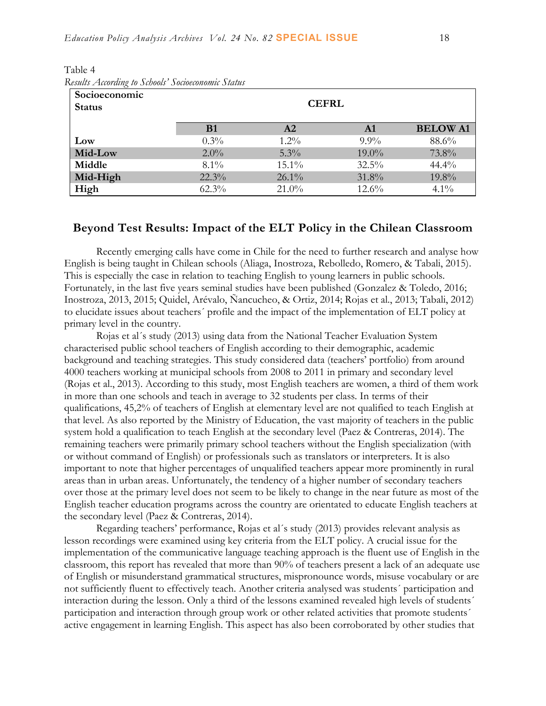| Socioeconomic<br><b>Status</b> |           | <b>Nesuus Auoraing to Sthoots Sottoeconomic Status</b><br><b>CEFRL</b> |          |                 |
|--------------------------------|-----------|------------------------------------------------------------------------|----------|-----------------|
|                                | <b>B1</b> | A2                                                                     | A1       | <b>BELOW A1</b> |
| Low                            | $0.3\%$   | $1.2\%$                                                                | $9.9\%$  | 88.6%           |
| Mid-Low                        | $2.0\%$   | $5.3\%$                                                                | $19.0\%$ | 73.8%           |
| Middle                         | $8.1\%$   | $15.1\%$                                                               | $32.5\%$ | 44.4%           |
| Mid-High                       | $22.3\%$  | $26.1\%$                                                               | $31.8\%$ | 19.8%           |
| High                           | $62.3\%$  | $21.0\%$                                                               | $12.6\%$ | $4.1\%$         |

Table 4 *Results According to Schools' Socioeconomic Status*

#### **Beyond Test Results: Impact of the ELT Policy in the Chilean Classroom**

Recently emerging calls have come in Chile for the need to further research and analyse how English is being taught in Chilean schools (Aliaga, Inostroza, Rebolledo, Romero, & Tabali, 2015). This is especially the case in relation to teaching English to young learners in public schools. Fortunately, in the last five years seminal studies have been published (Gonzalez & Toledo, 2016; Inostroza, 2013, 2015; Quidel, Arévalo, Ñancucheo, & Ortiz, 2014; Rojas et al., 2013; Tabali, 2012) to elucidate issues about teachers´ profile and the impact of the implementation of ELT policy at primary level in the country.

Rojas et al´s study (2013) using data from the National Teacher Evaluation System characterised public school teachers of English according to their demographic, academic background and teaching strategies. This study considered data (teachers' portfolio) from around 4000 teachers working at municipal schools from 2008 to 2011 in primary and secondary level (Rojas et al., 2013). According to this study, most English teachers are women, a third of them work in more than one schools and teach in average to 32 students per class. In terms of their qualifications, 45,2% of teachers of English at elementary level are not qualified to teach English at that level. As also reported by the Ministry of Education, the vast majority of teachers in the public system hold a qualification to teach English at the secondary level (Paez & Contreras, 2014). The remaining teachers were primarily primary school teachers without the English specialization (with or without command of English) or professionals such as translators or interpreters. It is also important to note that higher percentages of unqualified teachers appear more prominently in rural areas than in urban areas. Unfortunately, the tendency of a higher number of secondary teachers over those at the primary level does not seem to be likely to change in the near future as most of the English teacher education programs across the country are orientated to educate English teachers at the secondary level (Paez & Contreras, 2014).

Regarding teachers' performance, Rojas et al´s study (2013) provides relevant analysis as lesson recordings were examined using key criteria from the ELT policy. A crucial issue for the implementation of the communicative language teaching approach is the fluent use of English in the classroom, this report has revealed that more than 90% of teachers present a lack of an adequate use of English or misunderstand grammatical structures, mispronounce words, misuse vocabulary or are not sufficiently fluent to effectively teach. Another criteria analysed was students´ participation and interaction during the lesson. Only a third of the lessons examined revealed high levels of students´ participation and interaction through group work or other related activities that promote students´ active engagement in learning English. This aspect has also been corroborated by other studies that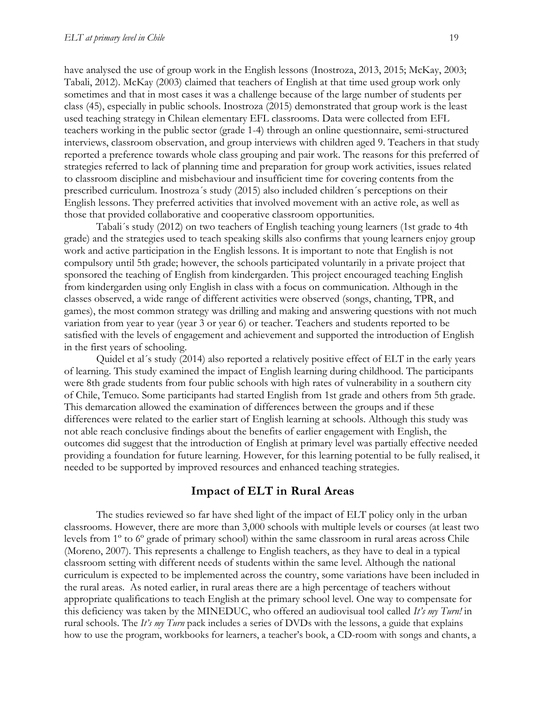have analysed the use of group work in the English lessons (Inostroza, 2013, 2015; McKay, 2003; Tabali, 2012). McKay (2003) claimed that teachers of English at that time used group work only sometimes and that in most cases it was a challenge because of the large number of students per class (45), especially in public schools. Inostroza (2015) demonstrated that group work is the least used teaching strategy in Chilean elementary EFL classrooms. Data were collected from EFL teachers working in the public sector (grade 1-4) through an online questionnaire, semi-structured interviews, classroom observation, and group interviews with children aged 9. Teachers in that study reported a preference towards whole class grouping and pair work. The reasons for this preferred of strategies referred to lack of planning time and preparation for group work activities, issues related to classroom discipline and misbehaviour and insufficient time for covering contents from the prescribed curriculum. Inostroza´s study (2015) also included children´s perceptions on their English lessons. They preferred activities that involved movement with an active role, as well as those that provided collaborative and cooperative classroom opportunities.

Tabali´s study (2012) on two teachers of English teaching young learners (1st grade to 4th grade) and the strategies used to teach speaking skills also confirms that young learners enjoy group work and active participation in the English lessons. It is important to note that English is not compulsory until 5th grade; however, the schools participated voluntarily in a private project that sponsored the teaching of English from kindergarden. This project encouraged teaching English from kindergarden using only English in class with a focus on communication. Although in the classes observed, a wide range of different activities were observed (songs, chanting, TPR, and games), the most common strategy was drilling and making and answering questions with not much variation from year to year (year 3 or year 6) or teacher. Teachers and students reported to be satisfied with the levels of engagement and achievement and supported the introduction of English in the first years of schooling.

Quidel et al´s study (2014) also reported a relatively positive effect of ELT in the early years of learning. This study examined the impact of English learning during childhood. The participants were 8th grade students from four public schools with high rates of vulnerability in a southern city of Chile, Temuco. Some participants had started English from 1st grade and others from 5th grade. This demarcation allowed the examination of differences between the groups and if these differences were related to the earlier start of English learning at schools. Although this study was not able reach conclusive findings about the benefits of earlier engagement with English, the outcomes did suggest that the introduction of English at primary level was partially effective needed providing a foundation for future learning. However, for this learning potential to be fully realised, it needed to be supported by improved resources and enhanced teaching strategies.

#### **Impact of ELT in Rural Areas**

The studies reviewed so far have shed light of the impact of ELT policy only in the urban classrooms. However, there are more than 3,000 schools with multiple levels or courses (at least two levels from 1º to 6º grade of primary school) within the same classroom in rural areas across Chile (Moreno, 2007). This represents a challenge to English teachers, as they have to deal in a typical classroom setting with different needs of students within the same level. Although the national curriculum is expected to be implemented across the country, some variations have been included in the rural areas. As noted earlier, in rural areas there are a high percentage of teachers without appropriate qualifications to teach English at the primary school level. One way to compensate for this deficiency was taken by the MINEDUC, who offered an audiovisual tool called *It's my Turn!* in rural schools. The *It's my Turn* pack includes a series of DVDs with the lessons, a guide that explains how to use the program, workbooks for learners, a teacher's book, a CD-room with songs and chants, a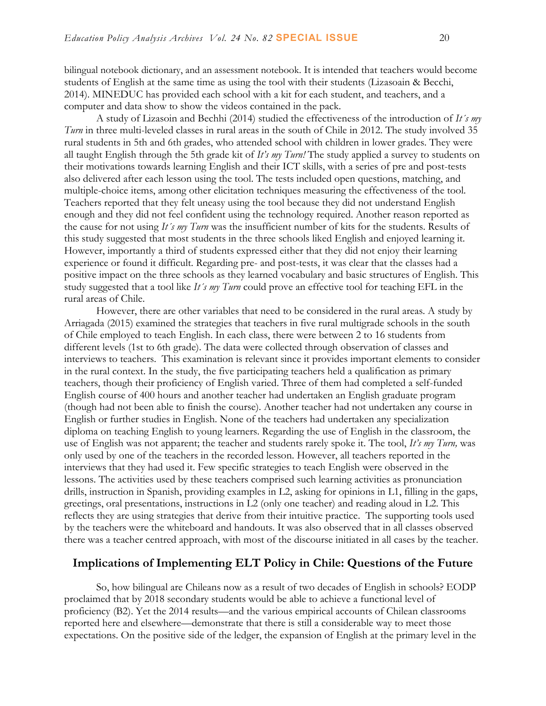bilingual notebook dictionary, and an assessment notebook. It is intended that teachers would become students of English at the same time as using the tool with their students (Lizasoain & Becchi, 2014). MINEDUC has provided each school with a kit for each student, and teachers, and a computer and data show to show the videos contained in the pack.

A study of Lizasoin and Bechhi (2014) studied the effectiveness of the introduction of *It´s my Turn* in three multi-leveled classes in rural areas in the south of Chile in 2012. The study involved 35 rural students in 5th and 6th grades, who attended school with children in lower grades. They were all taught English through the 5th grade kit of *It's my Turn!* The study applied a survey to students on their motivations towards learning English and their ICT skills, with a series of pre and post-tests also delivered after each lesson using the tool. The tests included open questions, matching, and multiple-choice items, among other elicitation techniques measuring the effectiveness of the tool. Teachers reported that they felt uneasy using the tool because they did not understand English enough and they did not feel confident using the technology required. Another reason reported as the cause for not using *It´s my Turn* was the insufficient number of kits for the students. Results of this study suggested that most students in the three schools liked English and enjoyed learning it. However, importantly a third of students expressed either that they did not enjoy their learning experience or found it difficult. Regarding pre- and post-tests, it was clear that the classes had a positive impact on the three schools as they learned vocabulary and basic structures of English. This study suggested that a tool like *It´s my Turn* could prove an effective tool for teaching EFL in the rural areas of Chile.

However, there are other variables that need to be considered in the rural areas. A study by Arriagada (2015) examined the strategies that teachers in five rural multigrade schools in the south of Chile employed to teach English. In each class, there were between 2 to 16 students from different levels (1st to 6th grade). The data were collected through observation of classes and interviews to teachers. This examination is relevant since it provides important elements to consider in the rural context. In the study, the five participating teachers held a qualification as primary teachers, though their proficiency of English varied. Three of them had completed a self-funded English course of 400 hours and another teacher had undertaken an English graduate program (though had not been able to finish the course). Another teacher had not undertaken any course in English or further studies in English. None of the teachers had undertaken any specialization diploma on teaching English to young learners. Regarding the use of English in the classroom, the use of English was not apparent; the teacher and students rarely spoke it. The tool, *It's my Turn,* was only used by one of the teachers in the recorded lesson. However, all teachers reported in the interviews that they had used it. Few specific strategies to teach English were observed in the lessons. The activities used by these teachers comprised such learning activities as pronunciation drills, instruction in Spanish, providing examples in L2, asking for opinions in L1, filling in the gaps, greetings, oral presentations, instructions in L2 (only one teacher) and reading aloud in L2. This reflects they are using strategies that derive from their intuitive practice. The supporting tools used by the teachers were the whiteboard and handouts. It was also observed that in all classes observed there was a teacher centred approach, with most of the discourse initiated in all cases by the teacher.

#### **Implications of Implementing ELT Policy in Chile: Questions of the Future**

So, how bilingual are Chileans now as a result of two decades of English in schools? EODP proclaimed that by 2018 secondary students would be able to achieve a functional level of proficiency (B2). Yet the 2014 results—and the various empirical accounts of Chilean classrooms reported here and elsewhere—demonstrate that there is still a considerable way to meet those expectations. On the positive side of the ledger, the expansion of English at the primary level in the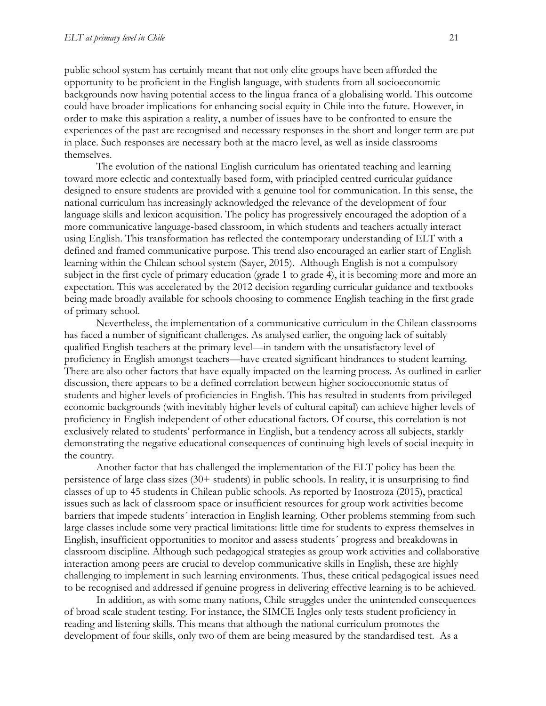public school system has certainly meant that not only elite groups have been afforded the opportunity to be proficient in the English language, with students from all socioeconomic backgrounds now having potential access to the lingua franca of a globalising world. This outcome could have broader implications for enhancing social equity in Chile into the future. However, in order to make this aspiration a reality, a number of issues have to be confronted to ensure the experiences of the past are recognised and necessary responses in the short and longer term are put in place. Such responses are necessary both at the macro level, as well as inside classrooms themselves.

The evolution of the national English curriculum has orientated teaching and learning toward more eclectic and contextually based form, with principled centred curricular guidance designed to ensure students are provided with a genuine tool for communication. In this sense, the national curriculum has increasingly acknowledged the relevance of the development of four language skills and lexicon acquisition. The policy has progressively encouraged the adoption of a more communicative language-based classroom, in which students and teachers actually interact using English. This transformation has reflected the contemporary understanding of ELT with a defined and framed communicative purpose. This trend also encouraged an earlier start of English learning within the Chilean school system (Sayer, 2015). Although English is not a compulsory subject in the first cycle of primary education (grade 1 to grade 4), it is becoming more and more an expectation. This was accelerated by the 2012 decision regarding curricular guidance and textbooks being made broadly available for schools choosing to commence English teaching in the first grade of primary school.

Nevertheless, the implementation of a communicative curriculum in the Chilean classrooms has faced a number of significant challenges. As analysed earlier, the ongoing lack of suitably qualified English teachers at the primary level—in tandem with the unsatisfactory level of proficiency in English amongst teachers—have created significant hindrances to student learning. There are also other factors that have equally impacted on the learning process. As outlined in earlier discussion, there appears to be a defined correlation between higher socioeconomic status of students and higher levels of proficiencies in English. This has resulted in students from privileged economic backgrounds (with inevitably higher levels of cultural capital) can achieve higher levels of proficiency in English independent of other educational factors. Of course, this correlation is not exclusively related to students' performance in English, but a tendency across all subjects, starkly demonstrating the negative educational consequences of continuing high levels of social inequity in the country.

Another factor that has challenged the implementation of the ELT policy has been the persistence of large class sizes (30+ students) in public schools. In reality, it is unsurprising to find classes of up to 45 students in Chilean public schools. As reported by Inostroza (2015), practical issues such as lack of classroom space or insufficient resources for group work activities become barriers that impede students´ interaction in English learning. Other problems stemming from such large classes include some very practical limitations: little time for students to express themselves in English, insufficient opportunities to monitor and assess students´ progress and breakdowns in classroom discipline. Although such pedagogical strategies as group work activities and collaborative interaction among peers are crucial to develop communicative skills in English, these are highly challenging to implement in such learning environments. Thus, these critical pedagogical issues need to be recognised and addressed if genuine progress in delivering effective learning is to be achieved.

In addition, as with some many nations, Chile struggles under the unintended consequences of broad scale student testing. For instance, the SIMCE Ingles only tests student proficiency in reading and listening skills. This means that although the national curriculum promotes the development of four skills, only two of them are being measured by the standardised test. As a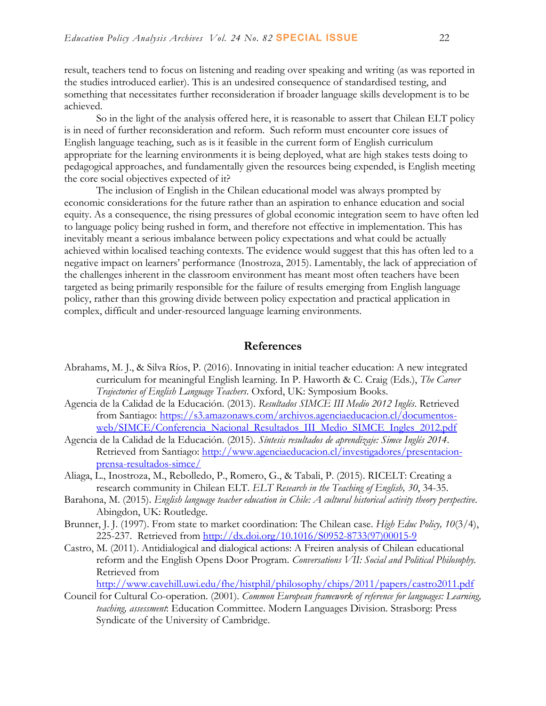result, teachers tend to focus on listening and reading over speaking and writing (as was reported in the studies introduced earlier). This is an undesired consequence of standardised testing, and something that necessitates further reconsideration if broader language skills development is to be achieved.

So in the light of the analysis offered here, it is reasonable to assert that Chilean ELT policy is in need of further reconsideration and reform. Such reform must encounter core issues of English language teaching, such as is it feasible in the current form of English curriculum appropriate for the learning environments it is being deployed, what are high stakes tests doing to pedagogical approaches, and fundamentally given the resources being expended, is English meeting the core social objectives expected of it?

The inclusion of English in the Chilean educational model was always prompted by economic considerations for the future rather than an aspiration to enhance education and social equity. As a consequence, the rising pressures of global economic integration seem to have often led to language policy being rushed in form, and therefore not effective in implementation. This has inevitably meant a serious imbalance between policy expectations and what could be actually achieved within localised teaching contexts. The evidence would suggest that this has often led to a negative impact on learners' performance (Inostroza, 2015). Lamentably, the lack of appreciation of the challenges inherent in the classroom environment has meant most often teachers have been targeted as being primarily responsible for the failure of results emerging from English language policy, rather than this growing divide between policy expectation and practical application in complex, difficult and under-resourced language learning environments.

#### **References**

- Abrahams, M. J., & Silva Ríos, P. (2016). Innovating in initial teacher education: A new integrated curriculum for meaningful English learning. In P. Haworth & C. Craig (Eds.), *The Career Trajectories of English Language Teachers*. Oxford, UK: Symposium Books.
- Agencia de la Calidad de la Educación. (2013). *Resultados SIMCE III Medio 2012 Inglés*. Retrieved from Santiago: [https://s3.amazonaws.com/archivos.agenciaeducacion.cl/documentos](https://s3.amazonaws.com/archivos.agenciaeducacion.cl/documentos-web/SIMCE/Conferencia_Nacional_Resultados_III_Medio_SIMCE_Ingles_2012.pdf)[web/SIMCE/Conferencia\\_Nacional\\_Resultados\\_III\\_Medio\\_SIMCE\\_Ingles\\_2012.pdf](https://s3.amazonaws.com/archivos.agenciaeducacion.cl/documentos-web/SIMCE/Conferencia_Nacional_Resultados_III_Medio_SIMCE_Ingles_2012.pdf)
- Agencia de la Calidad de la Educación. (2015). *Síntesis resultados de aprendizaje: Simce Inglés 2014*. Retrieved from Santiago: [http://www.agenciaeducacion.cl/investigadores/presentacion](http://www.agenciaeducacion.cl/investigadores/presentacion-prensa-resultados-simce/)[prensa-resultados-simce/](http://www.agenciaeducacion.cl/investigadores/presentacion-prensa-resultados-simce/)
- Aliaga, L., Inostroza, M., Rebolledo, P., Romero, G., & Tabali, P. (2015). RICELT: Creating a research community in Chilean ELT. *ELT Research in the Teaching of English, 30*, 34-35.
- Barahona, M. (2015). *English language teacher education in Chile: A cultural historical activity theory perspective*. Abingdon, UK: Routledge.
- Brunner, J. J. (1997). From state to market coordination: The Chilean case. *High Educ Policy, 10*(3/4), 225-237. Retrieved from [http://dx.doi.org/10.1016/S0952-8733\(97\)00015-9](http://dx.doi.org/10.1016/S0952-8733(97)00015-9)
- Castro, M. (2011). Antidialogical and dialogical actions: A Freiren analysis of Chilean educational reform and the English Opens Door Program. *Conversations VII: Social and Political Philosophy.* Retrieved from

<http://www.cavehill.uwi.edu/fhe/histphil/philosophy/chips/2011/papers/castro2011.pdf>

Council for Cultural Co-operation. (2001). *Common European framework of reference for languages: Learning, teaching, assessment*: Education Committee. Modern Languages Division. Strasborg: Press Syndicate of the University of Cambridge.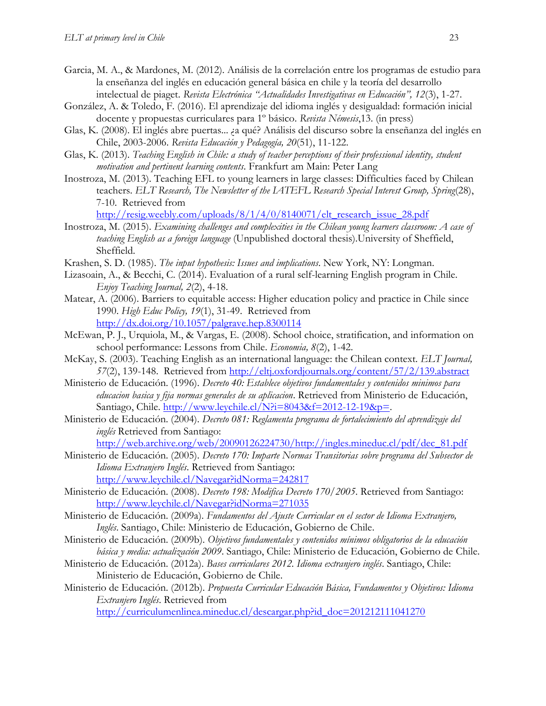- Garcia, M. A., & Mardones, M. (2012). Análisis de la correlación entre los programas de estudio para la enseñanza del inglés en educación general básica en chile y la teoría del desarrollo intelectual de piaget. *Revista Electrónica "Actualidades Investigativas en Educación", 12*(3), 1-27.
- González, A. & Toledo, F. (2016). El aprendizaje del idioma inglés y desigualdad: formación inicial docente y propuestas curriculares para 1º básico. *Revista Némesis*,13. (in press)
- Glas, K. (2008). El inglés abre puertas... ¿a qué? Análisis del discurso sobre la enseñanza del inglés en Chile, 2003-2006. *Revista Educación y Pedagogía, 20*(51), 11-122.
- Glas, K. (2013). *Teaching English in Chile: a study of teacher perceptions of their professional identity, student motivation and pertinent learning contents*. Frankfurt am Main: Peter Lang
- Inostroza, M. (2013). Teaching EFL to young learners in large classes: Difficulties faced by Chilean teachers. *ELT Research, The Newsletter of the IATEFL Research Special Interest Group, Spring*(28), 7-10. Retrieved from

[http://resig.weebly.com/uploads/8/1/4/0/8140071/elt\\_research\\_issue\\_28.pdf](http://resig.weebly.com/uploads/8/1/4/0/8140071/elt_research_issue_28.pdf)

- Inostroza, M. (2015). *Examining challenges and complexities in the Chilean young learners classroom: A case of teaching English as a foreign language* (Unpublished doctoral thesis).University of Sheffield, Sheffield.
- Krashen, S. D. (1985). *The input hypothesis: Issues and implications*. New York, NY: Longman.
- Lizasoain, A., & Becchi, C. (2014). Evaluation of a rural self-learning English program in Chile. *Enjoy Teaching Journal, 2*(2), 4-18.
- Matear, A. (2006). Barriers to equitable access: Higher education policy and practice in Chile since 1990. *High Educ Policy, 19*(1), 31-49. Retrieved from <http://dx.doi.org/10.1057/palgrave.hep.8300114>
- McEwan, P. J., Urquiola, M., & Vargas, E. (2008). School choice, stratification, and information on school performance: Lessons from Chile. *Economia, 8*(2), 1-42.
- McKay, S. (2003). Teaching English as an international language: the Chilean context. *ELT Journal, 57*(2), 139-148. Retrieved from<http://eltj.oxfordjournals.org/content/57/2/139.abstract>
- Ministerio de Educación. (1996). *Decreto 40: Establece objetivos fundamentales y contenidos minimos para educacion basica y fija normas generales de su aplicacion*. Retrieved from Ministerio de Educación, Santiago, Chile. [http://www.leychile.cl/N?i=8043&f=2012-12-19&p=.](http://www.leychile.cl/N?i=8043&f=2012-12-19&p=)
- Ministerio de Educación. (2004). *Decreto 081: Reglamenta programa de fortalecimiento del aprendizaje del inglés* Retrieved from Santiago:
	- [http://web.archive.org/web/20090126224730/http://ingles.mineduc.cl/pdf/dec\\_81.pdf](http://web.archive.org/web/20090126224730/http:/ingles.mineduc.cl/pdf/dec_81.pdf)
- Ministerio de Educación. (2005). *Decreto 170: Imparte Normas Transitorias sobre programa del Subsector de Idioma Extranjero Inglés*. Retrieved from Santiago: <http://www.leychile.cl/Navegar?idNorma=242817>
- Ministerio de Educación. (2008). *Decreto 198: Modifica Decreto 170/2005*. Retrieved from Santiago: <http://www.leychile.cl/Navegar?idNorma=271035>
- Ministerio de Educación. (2009a). *Fundamentos del Ajuste Curricular en el sector de Idioma Extranjero, Inglés*. Santiago, Chile: Ministerio de Educación, Gobierno de Chile.
- Ministerio de Educación. (2009b). *Objetivos fundamentales y contenidos mínimos obligatorios de la educación básica y media: actualización 2009*. Santiago, Chile: Ministerio de Educación, Gobierno de Chile.
- Ministerio de Educación. (2012a). *Bases curriculares 2012. Idioma extranjero inglés*. Santiago, Chile: Ministerio de Educación, Gobierno de Chile.
- Ministerio de Educación. (2012b). *Propuesta Curricular Educación Básica, Fundamentos y Objetivos: Idioma Extranjero Inglés*. Retrieved from

[http://curriculumenlinea.mineduc.cl/descargar.php?id\\_doc=201212111041270](http://curriculumenlinea.mineduc.cl/descargar.php?id_doc=201212111041270)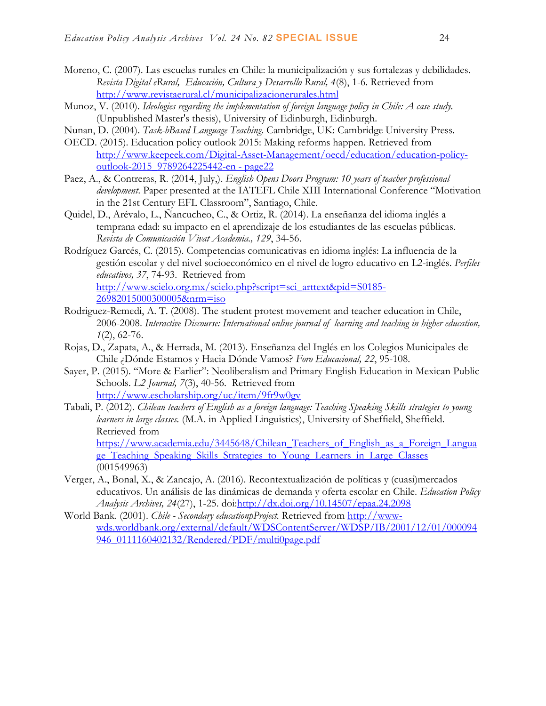- Moreno, C. (2007). Las escuelas rurales en Chile: la municipalización y sus fortalezas y debilidades. *Revista Digital eRural, Educación, Cultura y Desarrollo Rural, 4*(8), 1-6. Retrieved from <http://www.revistaerural.cl/municipalizacionerurales.html>
- Munoz, V. (2010). *Ideologies regarding the implementation of foreign language policy in Chile: A case study.* (Unpublished Master's thesis), University of Edinburgh, Edinburgh.
- Nunan, D. (2004). *Task-bBased Language Teaching*. Cambridge, UK: Cambridge University Press.
- OECD. (2015). Education policy outlook 2015: Making reforms happen. Retrieved from [http://www.keepeek.com/Digital-Asset-Management/oecd/education/education-policy](http://www.keepeek.com/Digital-Asset-Management/oecd/education/education-policy-outlook-2015_9789264225442-en#page22)[outlook-2015\\_9789264225442-en -](http://www.keepeek.com/Digital-Asset-Management/oecd/education/education-policy-outlook-2015_9789264225442-en#page22) page22
- Paez, A., & Contreras, R. (2014, July,). *English Opens Doors Program: 10 years of teacher professional development*. Paper presented at the IATEFL Chile XIII International Conference "Motivation in the 21st Century EFL Classroom", Santiago, Chile.
- Quidel, D., Arévalo, L., Ñancucheo, C., & Ortiz, R. (2014). La enseñanza del idioma inglés a temprana edad: su impacto en el aprendizaje de los estudiantes de las escuelas públicas. *Revista de Comunicación Vivat Academia., 129*, 34-56.
- Rodríguez Garcés, C. (2015). Competencias comunicativas en idioma inglés: La influencia de la gestión escolar y del nivel socioeconómico en el nivel de logro educativo en L2-inglés. *Perfiles educativos, 37*, 74-93. Retrieved from [http://www.scielo.org.mx/scielo.php?script=sci\\_arttext&pid=S0185-](http://www.scielo.org.mx/scielo.php?script=sci_arttext&pid=S0185-26982015000300005&nrm=iso) [26982015000300005&nrm=iso](http://www.scielo.org.mx/scielo.php?script=sci_arttext&pid=S0185-26982015000300005&nrm=iso)
- Rodriguez-Remedi, A. T. (2008). The student protest movement and teacher education in Chile, 2006-2008. *Interactive Discourse: International online journal of learning and teaching in higher education, 1*(2), 62-76.
- Rojas, D., Zapata, A., & Herrada, M. (2013). Enseñanza del Inglés en los Colegios Municipales de Chile ¿Dónde Estamos y Hacia Dónde Vamos? *Foro Educacional, 22*, 95-108.
- Sayer, P. (2015). "More & Earlier": Neoliberalism and Primary English Education in Mexican Public Schools. *L2 Journal, 7*(3), 40-56. Retrieved from <http://www.escholarship.org/uc/item/9fr9w0gv>
- Tabali, P. (2012). *Chilean teachers of English as a foreign language: Teaching Speaking Skills strategies to young learners in large classes.* (M.A. in Applied Linguistics), University of Sheffield, Sheffield. Retrieved from

https://www.academia.edu/3445648/Chilean Teachers of English as a Foreign Langua ge Teaching Speaking Skills Strategies to Young Learners in Large Classes (001549963)

- Verger, A., Bonal, X., & Zancajo, A. (2016). Recontextualización de políticas y (cuasi)mercados educativos. Un análisis de las dinámicas de demanda y oferta escolar en Chile. *Education Policy Analysis Archives, 24*(27), 1-25. doi[:http://dx.doi.org/10.14507/epaa.24.2098](http://dx.doi.org/10.14507/epaa.24.2098)
- World Bank. (2001). *Chile - Secondary educationpProject.* Retrieved from [http://www](http://www-wds.worldbank.org/external/default/WDSContentServer/WDSP/IB/2001/12/01/000094946_0111160402132/Rendered/PDF/multi0page.pdf)[wds.worldbank.org/external/default/WDSContentServer/WDSP/IB/2001/12/01/000094](http://www-wds.worldbank.org/external/default/WDSContentServer/WDSP/IB/2001/12/01/000094946_0111160402132/Rendered/PDF/multi0page.pdf) [946\\_0111160402132/Rendered/PDF/multi0page.pdf](http://www-wds.worldbank.org/external/default/WDSContentServer/WDSP/IB/2001/12/01/000094946_0111160402132/Rendered/PDF/multi0page.pdf)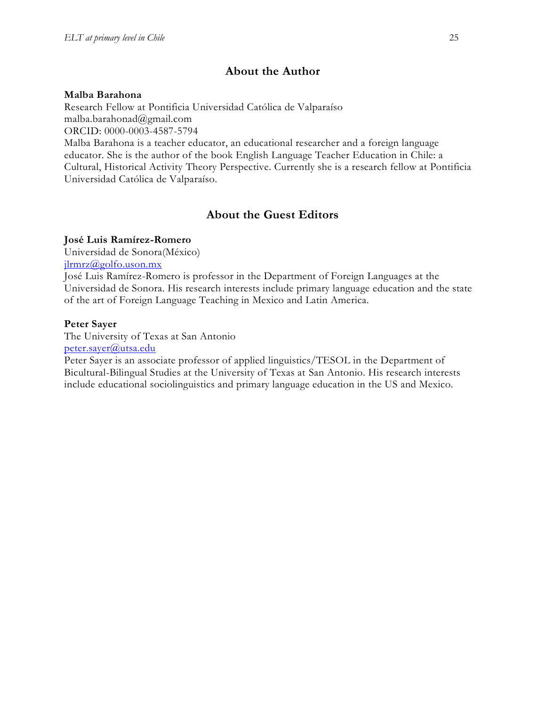## **About the Author**

#### **Malba Barahona**

Research Fellow at Pontificia Universidad Católica de Valparaíso malba.barahonad@gmail.com ORCID: 0000-0003-4587-5794

Malba Barahona is a teacher educator, an educational researcher and a foreign language educator. She is the author of the book English Language Teacher Education in Chile: a Cultural, Historical Activity Theory Perspective. Currently she is a research fellow at Pontificia Universidad Católica de Valparaíso.

## **About the Guest Editors**

#### **José Luis Ramírez-Romero**

Universidad de Sonora(México)

[jlrmrz@golfo.uson.mx](mailto:jlrmrz@golfo.uson.mx)

José Luis Ramírez-Romero is professor in the Department of Foreign Languages at the Universidad de Sonora. His research interests include primary language education and the state of the art of Foreign Language Teaching in Mexico and Latin America.

#### **Peter Sayer**

The University of Texas at San Antonio [peter.sayer@utsa.edu](mailto:peter.sayer@utsa.edu)

Peter Sayer is an associate professor of applied linguistics/TESOL in the Department of Bicultural-Bilingual Studies at the University of Texas at San Antonio. His research interests include educational sociolinguistics and primary language education in the US and Mexico.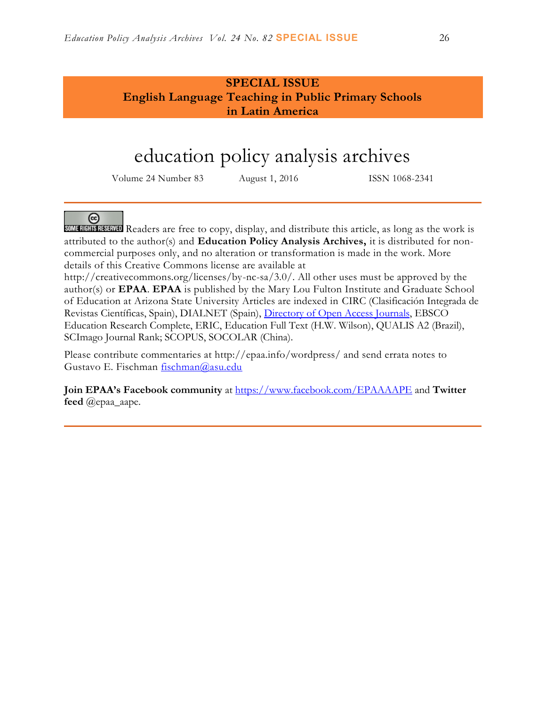## **SPECIAL ISSUE English Language Teaching in Public Primary Schools in Latin America**

## education policy analysis archives

Volume 24 Number 83 August 1, 2016 ISSN 1068-2341

### @

SOMERICHTER READERS are free to copy, display, and distribute this article, as long as the work is attributed to the author(s) and **Education Policy Analysis Archives,** it is distributed for noncommercial purposes only, and no alteration or transformation is made in the work. More details of this Creative Commons license are available at

http://creativecommons.org/licenses/by-nc-sa/3.0/. All other uses must be approved by the author(s) or **EPAA**. **EPAA** is published by the Mary Lou Fulton Institute and Graduate School of Education at Arizona State University Articles are indexed in CIRC (Clasificación Integrada de Revistas Científicas, Spain), DIALNET (Spain), [Directory of Open Access Journals,](http://www.doaj.org/) EBSCO Education Research Complete, ERIC, Education Full Text (H.W. Wilson), QUALIS A2 (Brazil), SCImago Journal Rank; SCOPUS, SOCOLAR (China).

Please contribute commentaries at http://epaa.info/wordpress/ and send errata notes to Gustavo E. Fischman [fischman@asu.edu](mailto:fischman@asu.edu)

**Join EPAA's Facebook community** at<https://www.facebook.com/EPAAAAPE> and **Twitter feed** @epaa\_aape.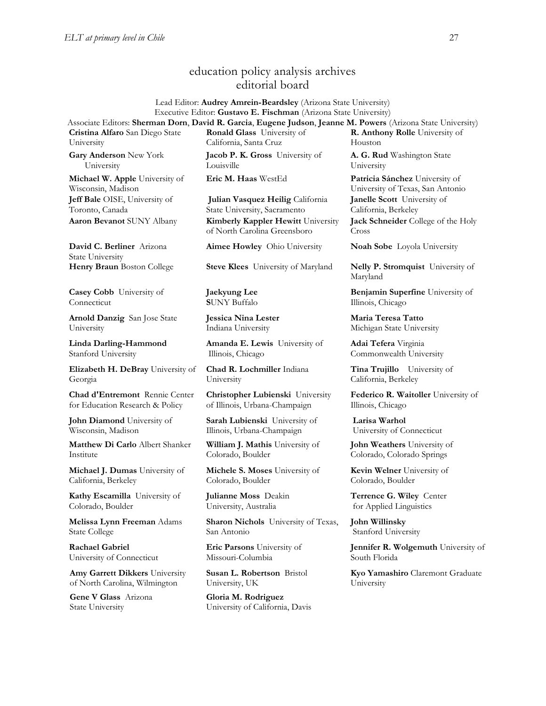#### education policy analysis archives editorial board

Lead Editor: **Audrey Amrein-Beardsley** (Arizona State University) Executive Editor: **Gustavo E. Fischman** (Arizona State University) Associate Editors: **Sherman Dorn**, **David R. Garcia**, **Eugene Judson**, **Jeanne M. Powers** (Arizona State University)

**Cristina Alfaro** San Diego State University

**Gary Anderson** New York University **Michael W. Apple** University of Wisconsin, Madison

**Jeff Bale** OISE, University of Toronto, Canada

**David C. Berliner** Arizona State University

**Casey Cobb** University of Connecticut

**Arnold Danzig** San Jose State University

**Linda Darling-Hammond**  Stanford University

**Elizabeth H. DeBray** University of Georgia

**Chad d'Entremont** Rennie Center for Education Research & Policy

**John Diamond** University of Wisconsin, Madison

**Matthew Di Carlo** Albert Shanker Institute

**Michael J. Dumas** University of California, Berkeley

**Kathy Escamilla** University of Colorado, Boulder

**Melissa Lynn Freeman** Adams State College

**Rachael Gabriel** University of Connecticut

**Amy Garrett Dikkers** University of North Carolina, Wilmington

**Gene V Glass** Arizona State University

**Ronald Glass** University of California, Santa Cruz **Jacob P. K. Gross** University of Louisville

**Eric M. Haas** WestEd **Patricia Sánchez** University of

**Julian Vasquez Heilig** California State University, Sacramento **Aaron Bevanot** SUNY Albany **Kimberly Kappler Hewitt** University of North Carolina Greensboro

**Aimee Howley** Ohio University **Noah Sobe** Loyola University

**Henry Braun** Boston College **Steve Klees** University of Maryland **Nelly P. Stromquist** University of

**Jaekyung Lee S**UNY Buffalo

**Jessica Nina Lester** Indiana University

**Amanda E. Lewis** University of Illinois, Chicago

**Chad R. Lochmiller** Indiana University

**Christopher Lubienski** University of Illinois, Urbana-Champaign

**Sarah Lubienski** University of Illinois, Urbana-Champaign

**William J. Mathis** University of Colorado, Boulder

**Michele S. Moses** University of Colorado, Boulder

**Julianne Moss** Deakin University, Australia

**Sharon Nichols** University of Texas, San Antonio

**Eric Parsons** University of Missouri-Columbia

**Susan L. Robertson** Bristol University, UK

**Gloria M. Rodriguez** University of California, Davis **A. G. Rud** Washington State University

**R. Anthony Rolle** University of

Houston

University of Texas, San Antonio **Janelle Scott** University of California, Berkeley **Jack Schneider** College of the Holy Cross

Maryland

**Benjamin Superfine** University of Illinois, Chicago

**Maria Teresa Tatto**  Michigan State University

**Adai Tefera** Virginia Commonwealth University

**Tina Trujillo** University of California, Berkeley

**Federico R. Waitoller** University of Illinois, Chicago

**Larisa Warhol** University of Connecticut

**John Weathers** University of Colorado, Colorado Springs

**Kevin Welner** University of Colorado, Boulder

**Terrence G. Wiley** Center for Applied Linguistics

**John Willinsky**  Stanford University

**Jennifer R. Wolgemuth** University of South Florida

**Kyo Yamashiro** Claremont Graduate University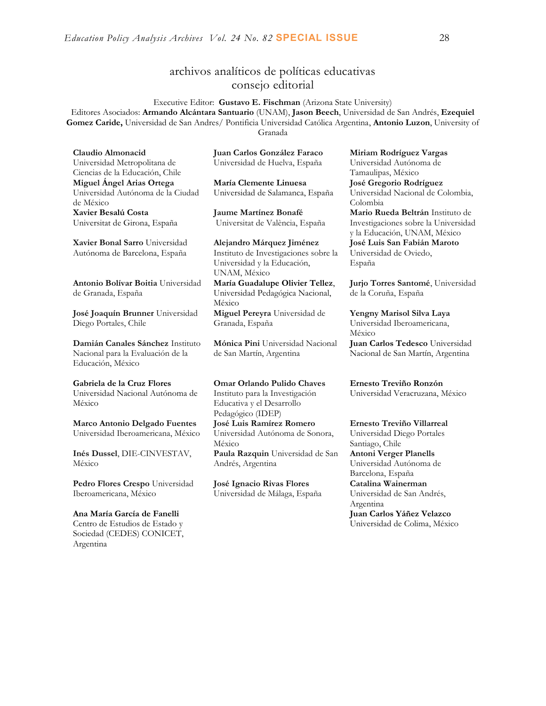### archivos analíticos de políticas educativas consejo editorial

Executive Editor: **Gustavo E. Fischman** (Arizona State University) Editores Asociados: **Armando Alcántara Santuario** (UNAM), **Jason Beech**, Universidad de San Andrés, **Ezequiel Gomez Caride,** Universidad de San Andres/ Pontificia Universidad Católica Argentina, **Antonio Luzon**, University of Granada

**Claudio Almonacid** Universidad Metropolitana de Ciencias de la Educación, Chile **Miguel Ángel Arias Ortega**  Universidad Autónoma de la Ciudad de México **Xavier Besalú Costa**  Universitat de Girona, España

**[Xavier Bonal](javascript:openRTWindow() Sarro** Universidad Autónoma de Barcelona, España

**[Antonio Bolívar](javascript:openRTWindow() Boitia** Universidad de Granada, España

**[José Joaquín Brunner](javascript:openRTWindow()** Universidad Diego Portales, Chile

**[Damián Canales Sánchez](javascript:openRTWindow()** Instituto Nacional para la Evaluación de la Educación, México

**Gabriela de la Cruz Flores** Universidad Nacional Autónoma de México

**[Marco Antonio Delgado Fuentes](javascript:openRTWindow()** Universidad Iberoamericana, México

**[Inés Dussel](javascript:openRTWindow()**, DIE-CINVESTAV, México

**[Pedro Flores Crespo](javascript:openRTWindow()** Universidad Iberoamericana, México

**Ana María García de Fanelli**  Centro de Estudios de Estado y Sociedad (CEDES) CONICET, Argentina

**Juan Carlos González Faraco**  Universidad de Huelva, España

**María Clemente Linuesa**  Universidad de Salamanca, España

**Jaume Martínez Bonafé** Universitat de València, España

**Alejandro Márquez Jiménez**  Instituto de Investigaciones sobre la Universidad y la Educación, UNAM, México

**María Guadalupe Olivier Tellez**, Universidad Pedagógica Nacional, México **[Miguel Pereyra](javascript:openRTWindow()** Universidad de Granada, España

**[Mónica Pini](javascript:openRTWindow()** Universidad Nacional de San Martín, Argentina

**Omar Orlando Pulido Chaves** Instituto para la Investigación Educativa y el Desarrollo Pedagógico (IDEP) **[José Luis Ramírez](javascript:openRTWindow() Romero** Universidad Autónoma de Sonora, México **[Paula Razquin](javascript:openRTWindow()** Universidad de San Andrés, Argentina

**José Ignacio Rivas Flores** Universidad de Málaga, España **[Miriam Rodríguez Vargas](javascript:openRTWindow()** Universidad Autónoma de Tamaulipas, México **José Gregorio Rodríguez**  Universidad Nacional de Colombia, Colombia **[Mario Rueda Beltrán](javascript:openRTWindow()** Instituto de Investigaciones sobre la Universidad

y la Educación, UNAM, México **José Luis San Fabián Maroto**  Universidad de Oviedo, España

**[Jurjo Torres Santomé](javascript:openRTWindow()**, Universidad de la Coruña, España

**[Yengny Marisol Silva Laya](javascript:openRTWindow()** Universidad Iberoamericana, México

**Juan Carlos Tedesco** Universidad Nacional de San Martín, Argentina

**Ernesto Treviño Ronzón** Universidad Veracruzana, México

**[Ernesto Treviño](javascript:openRTWindow() Villarreal**

Universidad Diego Portales Santiago, Chile **[Antoni Verger Planells](javascript:openRTWindow()** Universidad Autónoma de Barcelona, España **[Catalina Wainerman](javascript:openRTWindow()** Universidad de San Andrés, Argentina **Juan Carlos Yáñez Velazco** Universidad de Colima, México